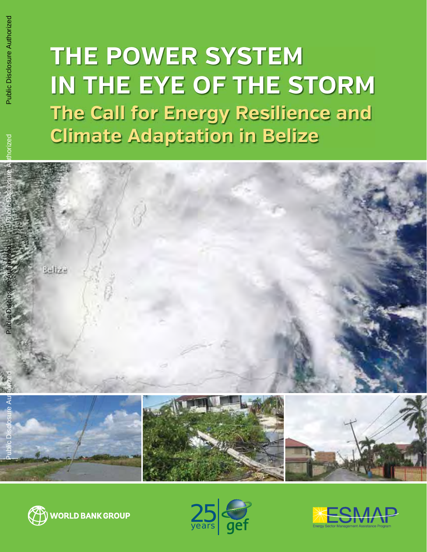## **THE POWER SYSTEM IN THE EYE OF THE STORM The Call for Energy Resilience and Climate Adaptation in Belize**









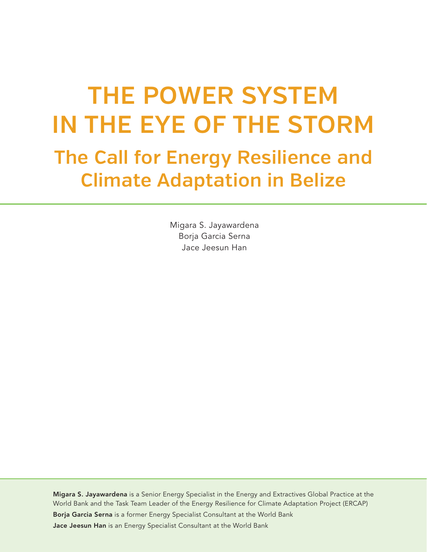# **THE POWER SYSTEM IN THE EYE OF THE STORM**

## **The Call for Energy Resilience and Climate Adaptation in Belize**

Migara S. Jayawardena Borja Garcia Serna Jace Jeesun Han

**Migara S. Jayawardena** is a Senior Energy Specialist in the Energy and Extractives Global Practice at the World Bank and the Task Team Leader of the Energy Resilience for Climate Adaptation Project (ERCAP) **Borja Garcia Serna** is a former Energy Specialist Consultant at the World Bank **Jace Jeesun Han** is an Energy Specialist Consultant at the World Bank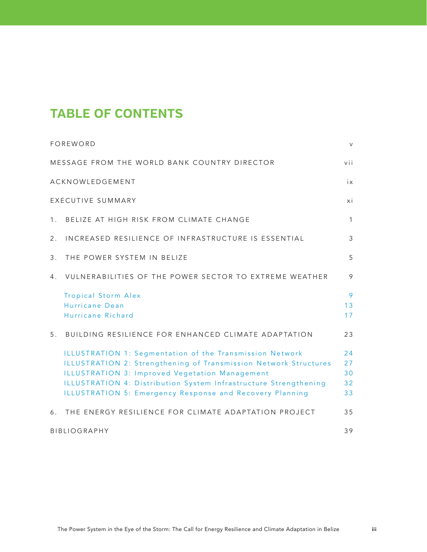## **TABLE OF CONTENTS**

|                                                     | FOREWORD                                                                                                                                                                                                                                                                                                       | $\vee$                     |  |  |  |
|-----------------------------------------------------|----------------------------------------------------------------------------------------------------------------------------------------------------------------------------------------------------------------------------------------------------------------------------------------------------------------|----------------------------|--|--|--|
| MESSAGE FROM THE WORLD BANK COUNTRY DIRECTOR<br>vii |                                                                                                                                                                                                                                                                                                                |                            |  |  |  |
|                                                     | ACKNOWLEDGEMENT                                                                                                                                                                                                                                                                                                | ix                         |  |  |  |
|                                                     | EXECUTIVE SUMMARY                                                                                                                                                                                                                                                                                              | xi                         |  |  |  |
| 1 <sub>1</sub>                                      | BELIZE AT HIGH RISK FROM CLIMATE CHANGE                                                                                                                                                                                                                                                                        | $\mathbf{1}$               |  |  |  |
| 2 <sub>1</sub>                                      | INCREASED RESILIENCE OF INFRASTRUCTURE IS ESSENTIAL                                                                                                                                                                                                                                                            | 3                          |  |  |  |
| 3 <sub>1</sub>                                      | THE POWER SYSTEM IN BELIZE                                                                                                                                                                                                                                                                                     | 5                          |  |  |  |
| 4.                                                  | VULNERABILITIES OF THE POWER SECTOR TO EXTREME WEATHER                                                                                                                                                                                                                                                         | 9                          |  |  |  |
|                                                     | <b>Tropical Storm Alex</b><br>Hurricane Dean<br>Hurricane Richard                                                                                                                                                                                                                                              | 9<br>13<br>17              |  |  |  |
| 5 <sub>1</sub>                                      | BUILDING RESILIENCE FOR ENHANCED CLIMATE ADAPTATION                                                                                                                                                                                                                                                            | 23                         |  |  |  |
|                                                     | ILLUSTRATION 1: Segmentation of the Transmission Network<br>ILLUSTRATION 2: Strengthening of Transmission Network Structures<br>ILLUSTRATION 3: Improved Vegetation Management<br>ILLUSTRATION 4: Distribution System Infrastructure Strengthening<br>ILLUSTRATION 5: Emergency Response and Recovery Planning | 24<br>27<br>30<br>32<br>33 |  |  |  |
| 6.                                                  | THE ENERGY RESILIENCE FOR CLIMATE ADAPTATION PROJECT                                                                                                                                                                                                                                                           | 35                         |  |  |  |
| BIBLIOGRAPHY                                        |                                                                                                                                                                                                                                                                                                                |                            |  |  |  |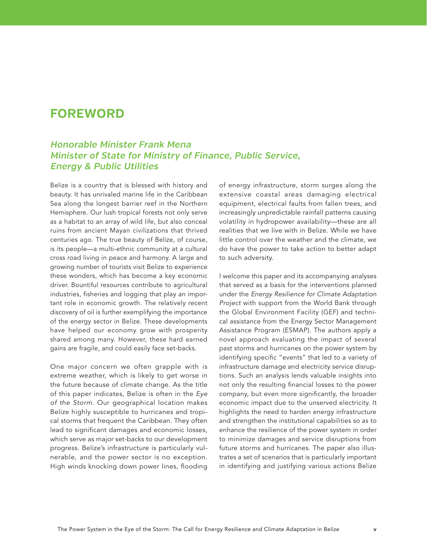## **FOREWORD**

#### **Honorable Minister Frank Mena Minister of State for Ministry of Finance, Public Service, Energy & Public Utilities**

Belize is a country that is blessed with history and beauty. It has unrivaled marine life in the Caribbean Sea along the longest barrier reef in the Northern Hemisphere. Our lush tropical forests not only serve as a habitat to an array of wild life, but also conceal ruins from ancient Mayan civilizations that thrived centuries ago. The true beauty of Belize, of course, is its people—a multi-ethnic community at a cultural cross road living in peace and harmony. A large and growing number of tourists visit Belize to experience these wonders, which has become a key economic driver. Bountiful resources contribute to agricultural industries, fisheries and logging that play an important role in economic growth. The relatively recent discovery of oil is further exemplifying the importance of the energy sector in Belize. These developments have helped our economy grow with prosperity shared among many. However, these hard earned gains are fragile, and could easily face set-backs.

One major concern we often grapple with is extreme weather, which is likely to get worse in the future because of climate change. As the title of this paper indicates, Belize is often in the Eye of the Storm. Our geographical location makes Belize highly susceptible to hurricanes and tropical storms that frequent the Caribbean. They often lead to significant damages and economic losses, which serve as major set-backs to our development progress. Belize's infrastructure is particularly vulnerable, and the power sector is no exception. High winds knocking down power lines, flooding of energy infrastructure, storm surges along the extensive coastal areas damaging electrical equipment, electrical faults from fallen trees, and increasingly unpredictable rainfall patterns causing volatility in hydropower availability—these are all realities that we live with in Belize. While we have little control over the weather and the climate, we do have the power to take action to better adapt to such adversity.

I welcome this paper and its accompanying analyses that served as a basis for the interventions planned under the Energy Resilience for Climate Adaptation Project with support from the World Bank through the Global Environment Facility (GEF) and technical assistance from the Energy Sector Management Assistance Program (ESMAP). The authors apply a novel approach evaluating the impact of several past storms and hurricanes on the power system by identifying specific "events" that led to a variety of infrastructure damage and electricity service disruptions. Such an analysis lends valuable insights into not only the resulting financial losses to the power company, but even more significantly, the broader economic impact due to the unserved electricity. It highlights the need to harden energy infrastructure and strengthen the institutional capabilities so as to enhance the resilience of the power system in order to minimize damages and service disruptions from future storms and hurricanes. The paper also illustrates a set of scenarios that is particularly important in identifying and justifying various actions Belize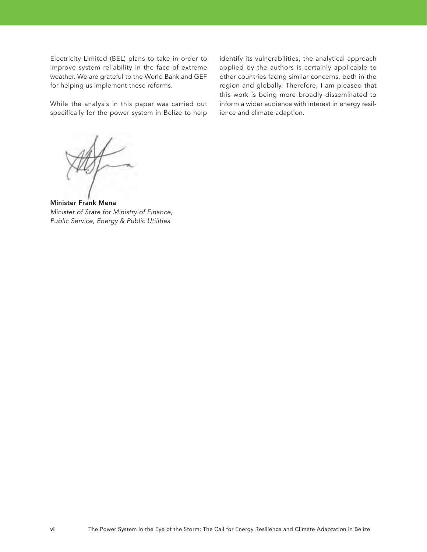Electricity Limited (BEL) plans to take in order to improve system reliability in the face of extreme weather. We are grateful to the World Bank and GEF for helping us implement these reforms.

While the analysis in this paper was carried out specifically for the power system in Belize to help

identify its vulnerabilities, the analytical approach applied by the authors is certainly applicable to other countries facing similar concerns, both in the region and globally. Therefore, I am pleased that this work is being more broadly disseminated to inform a wider audience with interest in energy resilience and climate adaption.

**Minister Frank Mena** Minister of State for Ministry of Finance, Public Service, Energy & Public Utilities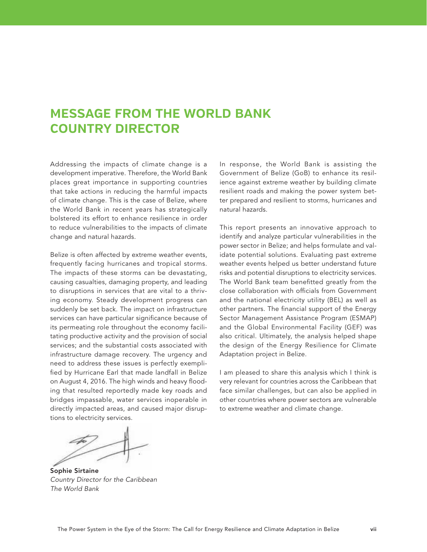## **MESSAGE FROM THE WORLD BANK COUNTRY DIRECTOR**

Addressing the impacts of climate change is a development imperative. Therefore, the World Bank places great importance in supporting countries that take actions in reducing the harmful impacts of climate change. This is the case of Belize, where the World Bank in recent years has strategically bolstered its effort to enhance resilience in order to reduce vulnerabilities to the impacts of climate change and natural hazards.

Belize is often affected by extreme weather events, frequently facing hurricanes and tropical storms. The impacts of these storms can be devastating, causing casualties, damaging property, and leading to disruptions in services that are vital to a thriving economy. Steady development progress can suddenly be set back. The impact on infrastructure services can have particular significance because of its permeating role throughout the economy facilitating productive activity and the provision of social services; and the substantial costs associated with infrastructure damage recovery. The urgency and need to address these issues is perfectly exemplified by Hurricane Earl that made landfall in Belize on August 4, 2016. The high winds and heavy flooding that resulted reportedly made key roads and bridges impassable, water services inoperable in directly impacted areas, and caused major disruptions to electricity services.

**Sophie Sirtaine** Country Director for the Caribbean The World Bank

In response, the World Bank is assisting the Government of Belize (GoB) to enhance its resilience against extreme weather by building climate resilient roads and making the power system better prepared and resilient to storms, hurricanes and natural hazards.

This report presents an innovative approach to identify and analyze particular vulnerabilities in the power sector in Belize; and helps formulate and validate potential solutions. Evaluating past extreme weather events helped us better understand future risks and potential disruptions to electricity services. The World Bank team benefitted greatly from the close collaboration with officials from Government and the national electricity utility (BEL) as well as other partners. The financial support of the Energy Sector Management Assistance Program (ESMAP) and the Global Environmental Facility (GEF) was also critical. Ultimately, the analysis helped shape the design of the Energy Resilience for Climate Adaptation project in Belize.

I am pleased to share this analysis which I think is very relevant for countries across the Caribbean that face similar challenges, but can also be applied in other countries where power sectors are vulnerable to extreme weather and climate change.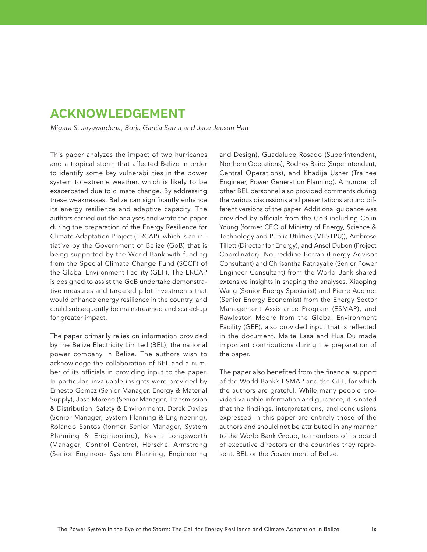## **ACKNOWLEDGEMENT**

Migara S. Jayawardena, Borja Garcia Serna and Jace Jeesun Han

This paper analyzes the impact of two hurricanes and a tropical storm that affected Belize in order to identify some key vulnerabilities in the power system to extreme weather, which is likely to be exacerbated due to climate change. By addressing these weaknesses, Belize can significantly enhance its energy resilience and adaptive capacity. The authors carried out the analyses and wrote the paper during the preparation of the Energy Resilience for Climate Adaptation Project (ERCAP), which is an initiative by the Government of Belize (GoB) that is being supported by the World Bank with funding from the Special Climate Change Fund (SCCF) of the Global Environment Facility (GEF). The ERCAP is designed to assist the GoB undertake demonstrative measures and targeted pilot investments that would enhance energy resilience in the country, and could subsequently be mainstreamed and scaled-up for greater impact.

The paper primarily relies on information provided by the Belize Electricity Limited (BEL), the national power company in Belize. The authors wish to acknowledge the collaboration of BEL and a number of its officials in providing input to the paper. In particular, invaluable insights were provided by Ernesto Gomez (Senior Manager, Energy & Material Supply), Jose Moreno (Senior Manager, Transmission & Distribution, Safety & Environment), Derek Davies (Senior Manager, System Planning & Engineering), Rolando Santos (former Senior Manager, System Planning & Engineering), Kevin Longsworth (Manager, Control Centre), Herschel Armstrong (Senior Engineer- System Planning, Engineering

and Design), Guadalupe Rosado (Superintendent, Northern Operations), Rodney Baird (Superintendent, Central Operations), and Khadija Usher (Trainee Engineer, Power Generation Planning). A number of other BEL personnel also provided comments during the various discussions and presentations around different versions of the paper. Additional guidance was provided by officials from the GoB including Colin Young (former CEO of Ministry of Energy, Science & Technology and Public Utilities (MESTPU)), Ambrose Tillett (Director for Energy), and Ansel Dubon (Project Coordinator). Noureddine Berrah (Energy Advisor Consultant) and Chrisantha Ratnayake (Senior Power Engineer Consultant) from the World Bank shared extensive insights in shaping the analyses. Xiaoping Wang (Senior Energy Specialist) and Pierre Audinet (Senior Energy Economist) from the Energy Sector Management Assistance Program (ESMAP), and Rawleston Moore from the Global Environment Facility (GEF), also provided input that is reflected in the document. Maite Lasa and Hua Du made important contributions during the preparation of the paper.

The paper also benefited from the financial support of the World Bank's ESMAP and the GEF, for which the authors are grateful. While many people provided valuable information and guidance, it is noted that the findings, interpretations, and conclusions expressed in this paper are entirely those of the authors and should not be attributed in any manner to the World Bank Group, to members of its board of executive directors or the countries they represent, BEL or the Government of Belize.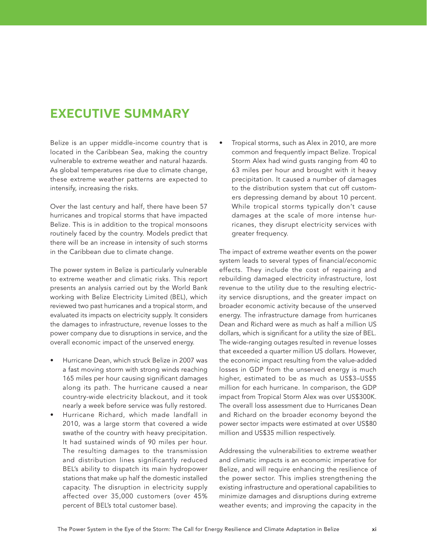## **EXECUTIVE SUMMARY**

Belize is an upper middle-income country that is located in the Caribbean Sea, making the country vulnerable to extreme weather and natural hazards. As global temperatures rise due to climate change, these extreme weather patterns are expected to intensify, increasing the risks.

Over the last century and half, there have been 57 hurricanes and tropical storms that have impacted Belize. This is in addition to the tropical monsoons routinely faced by the country. Models predict that there will be an increase in intensity of such storms in the Caribbean due to climate change.

The power system in Belize is particularly vulnerable to extreme weather and climatic risks. This report presents an analysis carried out by the World Bank working with Belize Electricity Limited (BEL), which reviewed two past hurricanes and a tropical storm, and evaluated its impacts on electricity supply. It considers the damages to infrastructure, revenue losses to the power company due to disruptions in service, and the overall economic impact of the unserved energy.

- Hurricane Dean, which struck Belize in 2007 was a fast moving storm with strong winds reaching 165 miles per hour causing significant damages along its path. The hurricane caused a near country-wide electricity blackout, and it took nearly a week before service was fully restored.
- Hurricane Richard, which made landfall in 2010, was a large storm that covered a wide swathe of the country with heavy precipitation. It had sustained winds of 90 miles per hour. The resulting damages to the transmission and distribution lines significantly reduced BEL's ability to dispatch its main hydropower stations that make up half the domestic installed capacity. The disruption in electricity supply affected over 35,000 customers (over 45% percent of BEL's total customer base).

• Tropical storms, such as Alex in 2010, are more common and frequently impact Belize. Tropical Storm Alex had wind gusts ranging from 40 to 63 miles per hour and brought with it heavy precipitation. It caused a number of damages to the distribution system that cut off customers depressing demand by about 10 percent. While tropical storms typically don't cause damages at the scale of more intense hurricanes, they disrupt electricity services with greater frequency.

The impact of extreme weather events on the power system leads to several types of financial/economic effects. They include the cost of repairing and rebuilding damaged electricity infrastructure, lost revenue to the utility due to the resulting electricity service disruptions, and the greater impact on broader economic activity because of the unserved energy. The infrastructure damage from hurricanes Dean and Richard were as much as half a million US dollars, which is significant for a utility the size of BEL. The wide-ranging outages resulted in revenue losses that exceeded a quarter million US dollars. However, the economic impact resulting from the value-added losses in GDP from the unserved energy is much higher, estimated to be as much as US\$3–US\$5 million for each hurricane. In comparison, the GDP impact from Tropical Storm Alex was over US\$300K. The overall loss assessment due to Hurricanes Dean and Richard on the broader economy beyond the power sector impacts were estimated at over US\$80 million and US\$35 million respectively.

Addressing the vulnerabilities to extreme weather and climatic impacts is an economic imperative for Belize, and will require enhancing the resilience of the power sector. This implies strengthening the existing infrastructure and operational capabilities to minimize damages and disruptions during extreme weather events; and improving the capacity in the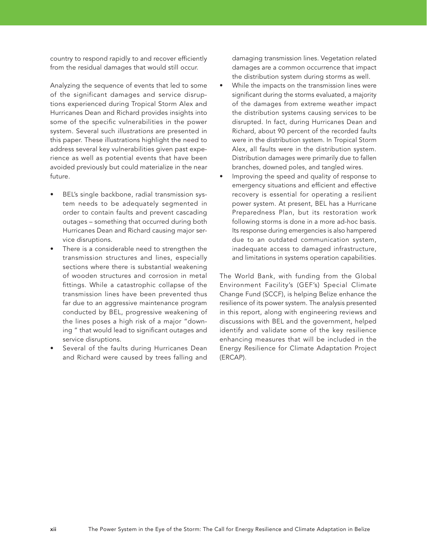country to respond rapidly to and recover efficiently from the residual damages that would still occur.

Analyzing the sequence of events that led to some of the significant damages and service disruptions experienced during Tropical Storm Alex and Hurricanes Dean and Richard provides insights into some of the specific vulnerabilities in the power system. Several such illustrations are presented in this paper. These illustrations highlight the need to address several key vulnerabilities given past experience as well as potential events that have been avoided previously but could materialize in the near future.

- BEL's single backbone, radial transmission system needs to be adequately segmented in order to contain faults and prevent cascading outages – something that occurred during both Hurricanes Dean and Richard causing major service disruptions.
- There is a considerable need to strengthen the transmission structures and lines, especially sections where there is substantial weakening of wooden structures and corrosion in metal fittings. While a catastrophic collapse of the transmission lines have been prevented thus far due to an aggressive maintenance program conducted by BEL, progressive weakening of the lines poses a high risk of a major "downing " that would lead to significant outages and service disruptions.
- Several of the faults during Hurricanes Dean and Richard were caused by trees falling and

damaging transmission lines. Vegetation related damages are a common occurrence that impact the distribution system during storms as well.

- While the impacts on the transmission lines were significant during the storms evaluated, a majority of the damages from extreme weather impact the distribution systems causing services to be disrupted. In fact, during Hurricanes Dean and Richard, about 90 percent of the recorded faults were in the distribution system. In Tropical Storm Alex, all faults were in the distribution system. Distribution damages were primarily due to fallen branches, downed poles, and tangled wires.
- Improving the speed and quality of response to emergency situations and efficient and effective recovery is essential for operating a resilient power system. At present, BEL has a Hurricane Preparedness Plan, but its restoration work following storms is done in a more ad-hoc basis. Its response during emergencies is also hampered due to an outdated communication system, inadequate access to damaged infrastructure, and limitations in systems operation capabilities.

The World Bank, with funding from the Global Environment Facility's (GEF's) Special Climate Change Fund (SCCF), is helping Belize enhance the resilience of its power system. The analysis presented in this report, along with engineering reviews and discussions with BEL and the government, helped identify and validate some of the key resilience enhancing measures that will be included in the Energy Resilience for Climate Adaptation Project (ERCAP).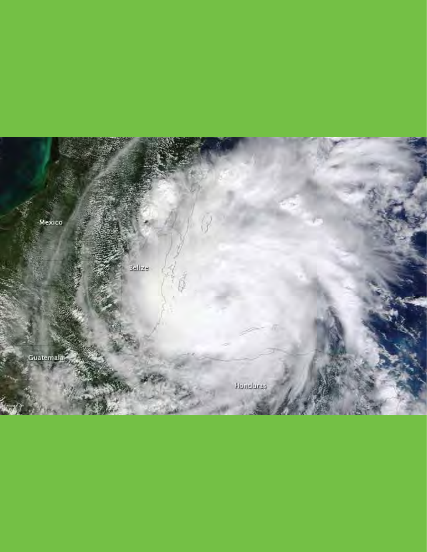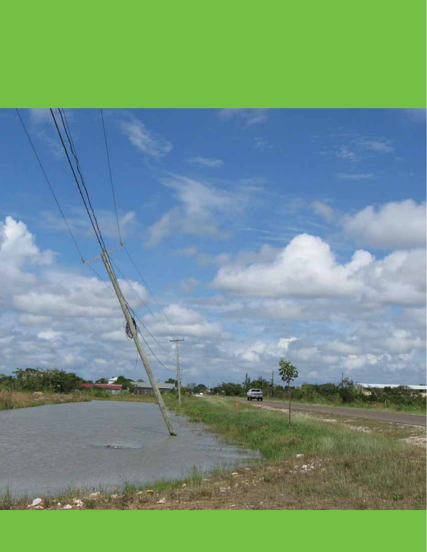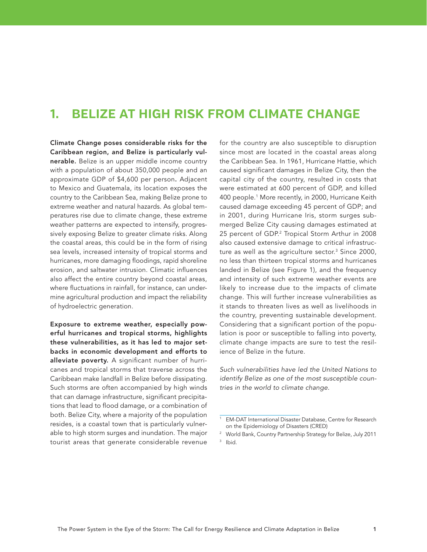## **1. BELIZE AT HIGH RISK FROM CLIMATE CHANGE**

**Climate Change poses considerable risks for the Caribbean region, and Belize is particularly vulnerable.** Belize is an upper middle income country with a population of about 350,000 people and an approximate GDP of \$4,600 per person**.** Adjacent to Mexico and Guatemala, its location exposes the country to the Caribbean Sea, making Belize prone to extreme weather and natural hazards. As global temperatures rise due to climate change, these extreme weather patterns are expected to intensify, progressively exposing Belize to greater climate risks. Along the coastal areas, this could be in the form of rising sea levels, increased intensity of tropical storms and hurricanes, more damaging floodings, rapid shoreline erosion, and saltwater intrusion. Climatic influences also affect the entire country beyond coastal areas, where fluctuations in rainfall, for instance, can undermine agricultural production and impact the reliability of hydroelectric generation.

**Exposure to extreme weather, especially powerful hurricanes and tropical storms, highlights these vulnerabilities, as it has led to major setbacks in economic development and efforts to alleviate poverty.** A significant number of hurricanes and tropical storms that traverse across the Caribbean make landfall in Belize before dissipating. Such storms are often accompanied by high winds that can damage infrastructure, significant precipitations that lead to flood damage, or a combination of both. Belize City, where a majority of the population resides, is a coastal town that is particularly vulnerable to high storm surges and inundation. The major tourist areas that generate considerable revenue

for the country are also susceptible to disruption since most are located in the coastal areas along the Caribbean Sea. In 1961, Hurricane Hattie, which caused significant damages in Belize City, then the capital city of the country, resulted in costs that were estimated at 600 percent of GDP, and killed 400 people.1 More recently, in 2000, Hurricane Keith caused damage exceeding 45 percent of GDP; and in 2001, during Hurricane Iris, storm surges submerged Belize City causing damages estimated at 25 percent of GDP.2 Tropical Storm Arthur in 2008 also caused extensive damage to critical infrastructure as well as the agriculture sector.<sup>3</sup> Since 2000, no less than thirteen tropical storms and hurricanes landed in Belize (see Figure 1), and the frequency and intensity of such extreme weather events are likely to increase due to the impacts of climate change. This will further increase vulnerabilities as it stands to threaten lives as well as livelihoods in the country, preventing sustainable development. Considering that a significant portion of the population is poor or susceptible to falling into poverty, climate change impacts are sure to test the resilience of Belize in the future.

Such vulnerabilities have led the United Nations to identify Belize as one of the most susceptible countries in the world to climate change.

<sup>&</sup>lt;sup>1</sup> EM-DAT International Disaster Database, Centre for Research on the Epidemiology of Disasters (CRED)

<sup>&</sup>lt;sup>2</sup> World Bank, Country Partnership Strategy for Belize, July 2011 <sup>3</sup> Ibid.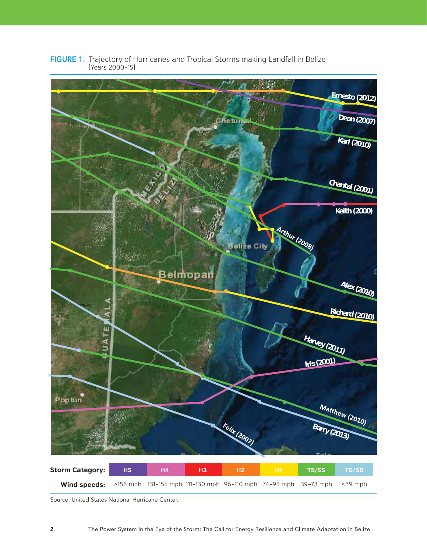

**FIGURE 1.** Trajectory of Hurricanes and Tropical Storms making Landfall in Belize (Years 2000–15)

Source: United States National Hurricane Center.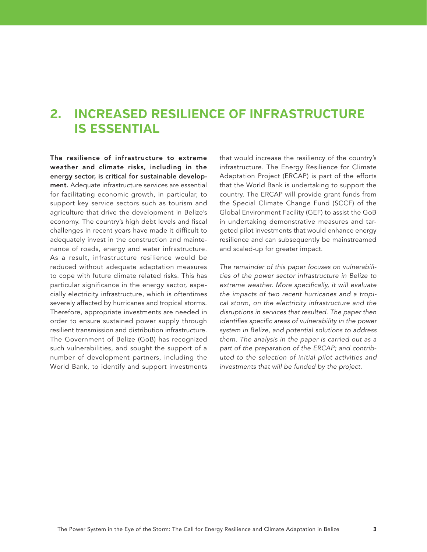## **2. INCREASED RESILIENCE OF INFRASTRUCTURE IS ESSENTIAL**

**The resilience of infrastructure to extreme weather and climate risks, including in the energy sector, is critical for sustainable development.** Adequate infrastructure services are essential for facilitating economic growth, in particular, to support key service sectors such as tourism and agriculture that drive the development in Belize's economy. The country's high debt levels and fiscal challenges in recent years have made it difficult to adequately invest in the construction and maintenance of roads, energy and water infrastructure. As a result, infrastructure resilience would be reduced without adequate adaptation measures to cope with future climate related risks. This has particular significance in the energy sector, especially electricity infrastructure, which is oftentimes severely affected by hurricanes and tropical storms. Therefore, appropriate investments are needed in order to ensure sustained power supply through resilient transmission and distribution infrastructure. The Government of Belize (GoB) has recognized such vulnerabilities, and sought the support of a number of development partners, including the World Bank, to identify and support investments

that would increase the resiliency of the country's infrastructure. The Energy Resilience for Climate Adaptation Project (ERCAP) is part of the efforts that the World Bank is undertaking to support the country. The ERCAP will provide grant funds from the Special Climate Change Fund (SCCF) of the Global Environment Facility (GEF) to assist the GoB in undertaking demonstrative measures and targeted pilot investments that would enhance energy resilience and can subsequently be mainstreamed and scaled-up for greater impact.

The remainder of this paper focuses on vulnerabilities of the power sector infrastructure in Belize to extreme weather. More specifically, it will evaluate the impacts of two recent hurricanes and a tropical storm, on the electricity infrastructure and the disruptions in services that resulted. The paper then identifies specific areas of vulnerability in the power system in Belize, and potential solutions to address them. The analysis in the paper is carried out as a part of the preparation of the ERCAP; and contributed to the selection of initial pilot activities and investments that will be funded by the project.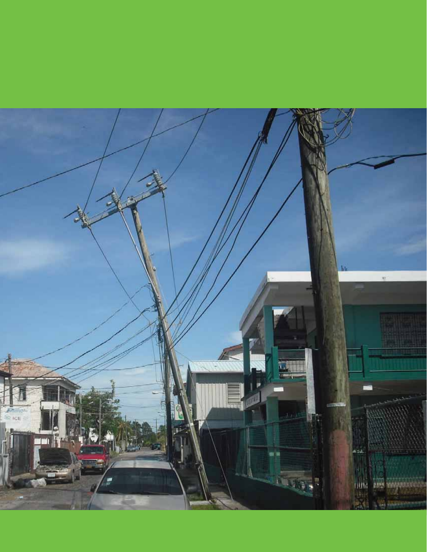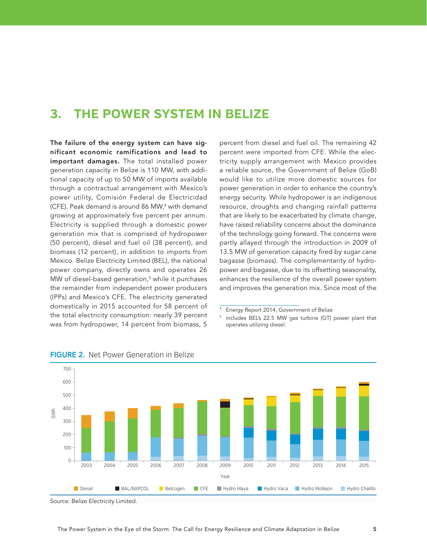## **3. THE POWER SYSTEM IN BELIZE**

**The failure of the energy system can have significant economic ramifications and lead to important damages.** The total installed power generation capacity in Belize is 110 MW, with additional capacity of up to 50 MW of imports available through a contractual arrangement with Mexico's power utility, Comisión Federal de Electricidad (CFE). Peak demand is around 86 MW,<sup>4</sup> with demand growing at approximately five percent per annum. Electricity is supplied through a domestic power generation mix that is comprised of hydropower (50 percent), diesel and fuel oil (38 percent), and biomass (12 percent), in addition to imports from Mexico. Belize Electricity Limited (BEL), the national power company, directly owns and operates 26 MW of diesel-based generation,<sup>5</sup> while it purchases the remainder from independent power producers (IPPs) and Mexico's CFE. The electricity generated domestically in 2015 accounted for 58 percent of the total electricity consumption: nearly 39 percent was from hydropower, 14 percent from biomass, 5

percent from diesel and fuel oil. The remaining 42 percent were imported from CFE. While the electricity supply arrangement with Mexico provides a reliable source, the Government of Belize (GoB) would like to utilize more domestic sources for power generation in order to enhance the country's energy security. While hydropower is an indigenous resource, droughts and changing rainfall patterns that are likely to be exacerbated by climate change, have raised reliability concerns about the dominance of the technology going forward. The concerns were partly allayed through the introduction in 2009 of 13.5 MW of generation capacity fired by sugar cane bagasse (biomass). The complementarity of hydropower and bagasse, due to its offsetting seasonality, enhances the resilience of the overall power system and improves the generation mix. Since most of the



**FIGURE 2.** Net Power Generation in Belize

<sup>4</sup> Energy Report 2014, Government of Belize

<sup>5</sup> includes BEL's 22.5 MW gas turbine (GT) power plant that operates utilizing diesel.

Source: Belize Electricity Limited.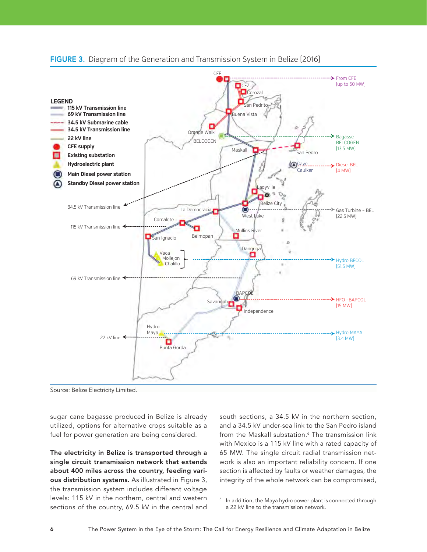

#### **FIGURE 3.** Diagram of the Generation and Transmission System in Belize (2016)

Source: Belize Electricity Limited.

sugar cane bagasse produced in Belize is already utilized, options for alternative crops suitable as a fuel for power generation are being considered.

**The electricity in Belize is transported through a single circuit transmission network that extends about 400 miles across the country, feeding various distribution systems.** As illustrated in Figure 3, the transmission system includes different voltage levels: 115 kV in the northern, central and western sections of the country, 69.5 kV in the central and

south sections, a 34.5 kV in the northern section, and a 34.5 kV under-sea link to the San Pedro island from the Maskall substation.<sup>6</sup> The transmission link with Mexico is a 115 kV line with a rated capacity of 65 MW. The single circuit radial transmission network is also an important reliability concern. If one section is affected by faults or weather damages, the integrity of the whole network can be compromised,

<sup>&</sup>lt;sup>6</sup> In addition, the Maya hydropower plant is connected through a 22 kV line to the transmission network.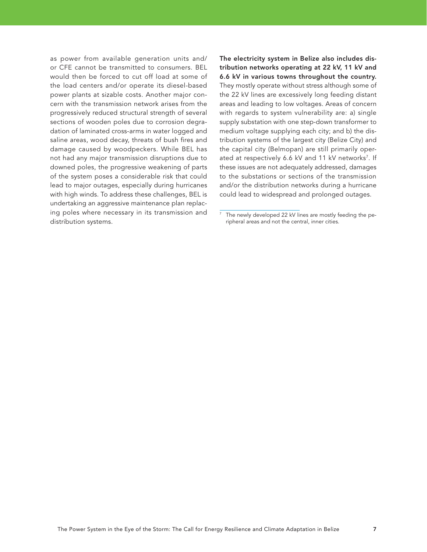as power from available generation units and/ or CFE cannot be transmitted to consumers. BEL would then be forced to cut off load at some of the load centers and/or operate its diesel-based power plants at sizable costs. Another major concern with the transmission network arises from the progressively reduced structural strength of several sections of wooden poles due to corrosion degradation of laminated cross-arms in water logged and saline areas, wood decay, threats of bush fires and damage caused by woodpeckers. While BEL has not had any major transmission disruptions due to downed poles, the progressive weakening of parts of the system poses a considerable risk that could lead to major outages, especially during hurricanes with high winds. To address these challenges, BEL is undertaking an aggressive maintenance plan replacing poles where necessary in its transmission and distribution systems.

**The electricity system in Belize also includes distribution networks operating at 22 kV, 11 kV and 6.6 kV in various towns throughout the country.** They mostly operate without stress although some of the 22 kV lines are excessively long feeding distant areas and leading to low voltages. Areas of concern with regards to system vulnerability are: a) single supply substation with one step-down transformer to medium voltage supplying each city; and b) the distribution systems of the largest city (Belize City) and the capital city (Belmopan) are still primarily operated at respectively 6.6 kV and 11 kV networks<sup>7</sup>. If these issues are not adequately addressed, damages to the substations or sections of the transmission and/or the distribution networks during a hurricane could lead to widespread and prolonged outages.

<sup>&</sup>lt;sup>7</sup> The newly developed 22 kV lines are mostly feeding the peripheral areas and not the central, inner cities.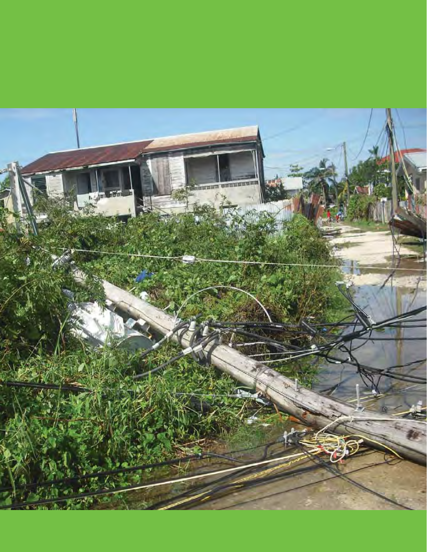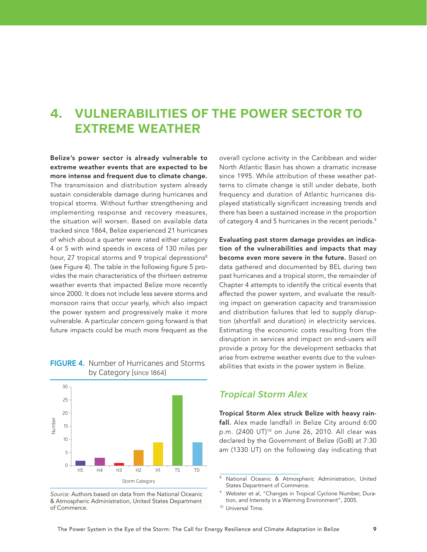## **4. VULNERABILITIES OF THE POWER SECTOR TO EXTREME WEATHER**

**Belize's power sector is already vulnerable to extreme weather events that are expected to be more intense and frequent due to climate change.**  The transmission and distribution system already sustain considerable damage during hurricanes and tropical storms. Without further strengthening and implementing response and recovery measures, the situation will worsen. Based on available data tracked since 1864, Belize experienced 21 hurricanes of which about a quarter were rated either category 4 or 5 with wind speeds in excess of 130 miles per hour, 27 tropical storms and 9 tropical depressions<sup>8</sup> (see Figure 4). The table in the following figure 5 provides the main characteristics of the thirteen extreme weather events that impacted Belize more recently since 2000. It does not include less severe storms and monsoon rains that occur yearly, which also impact the power system and progressively make it more vulnerable. A particular concern going forward is that future impacts could be much more frequent as the

overall cyclone activity in the Caribbean and wider North Atlantic Basin has shown a dramatic increase since 1995. While attribution of these weather patterns to climate change is still under debate, both frequency and duration of Atlantic hurricanes displayed statistically significant increasing trends and there has been a sustained increase in the proportion of category 4 and 5 hurricanes in the recent periods.<sup>9</sup>

**Evaluating past storm damage provides an indication of the vulnerabilities and impacts that may become even more severe in the future.** Based on data gathered and documented by BEL during two past hurricanes and a tropical storm, the remainder of Chapter 4 attempts to identify the critical events that affected the power system, and evaluate the resulting impact on generation capacity and transmission and distribution failures that led to supply disruption (shortfall and duration) in electricity services. Estimating the economic costs resulting from the disruption in services and impact on end-users will provide a proxy for the development setbacks that arise from extreme weather events due to the vulnerabilities that exists in the power system in Belize.



#### **FIGURE 4.** Number of Hurricanes and Storms by Category (since 1864)

#### Source: Authors based on data from the National Oceanic & Atmospheric Administration, United States Department of Commerce.

#### **Tropical Storm Alex**

**Tropical Storm Alex struck Belize with heavy rainfall.** Alex made landfall in Belize City around 6:00 p.m. (2400 UT)<sup>10</sup> on June 26, 2010. All clear was declared by the Government of Belize (GoB) at 7:30 am (1330 UT) on the following day indicating that

Webster et al, "Changes in Tropical Cyclone Number, Duration, and Intensity in a Warming Environment", 2005.

<sup>8</sup> National Oceanic & Atmospheric Administration, United States Department of Commerce.

<sup>&</sup>lt;sup>10</sup> Universal Time.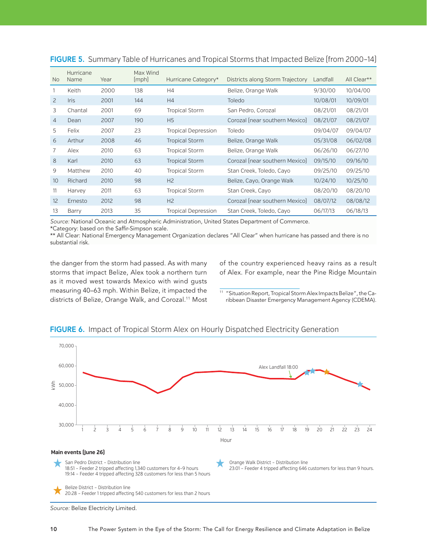| <b>No</b>      | <b>Hurricane</b><br>Name | Year | Max Wind<br>[mph] | Hurricane Category*        | Districts along Storm Trajectory | Landfall | All Clear** |
|----------------|--------------------------|------|-------------------|----------------------------|----------------------------------|----------|-------------|
|                |                          |      |                   |                            |                                  |          |             |
|                | Keith                    | 2000 | 138               | H4                         | Belize, Orange Walk              | 9/30/00  | 10/04/00    |
| $\overline{2}$ | <b>Iris</b>              | 2001 | 144               | H4                         | Toledo                           | 10/08/01 | 10/09/01    |
| 3              | Chantal                  | 2001 | 69                | <b>Tropical Storm</b>      | San Pedro, Corozal               | 08/21/01 | 08/21/01    |
| $\overline{4}$ | Dean                     | 2007 | 190               | H <sub>5</sub>             | Corozal (near southern Mexico)   | 08/21/07 | 08/21/07    |
| 5              | Felix                    | 2007 | 23                | <b>Tropical Depression</b> | Toledo                           | 09/04/07 | 09/04/07    |
| 6              | Arthur                   | 2008 | 46                | <b>Tropical Storm</b>      | Belize, Orange Walk              | 05/31/08 | 06/02/08    |
|                | Alex                     | 2010 | 63                | <b>Tropical Storm</b>      | Belize, Orange Walk              | 06/26/10 | 06/27/10    |
| 8              | Karl                     | 2010 | 63                | <b>Tropical Storm</b>      | Corozal (near southern Mexico)   | 09/15/10 | 09/16/10    |
| 9              | Matthew                  | 2010 | 40                | <b>Tropical Storm</b>      | Stan Creek, Toledo, Cayo         | 09/25/10 | 09/25/10    |
| 10             | Richard                  | 2010 | 98                | H <sub>2</sub>             | Belize, Cayo, Orange Walk        | 10/24/10 | 10/25/10    |
| 11             | Harvey                   | 2011 | 63                | <b>Tropical Storm</b>      | Stan Creek, Cayo                 | 08/20/10 | 08/20/10    |
| 12             | Ernesto                  | 2012 | 98                | H <sub>2</sub>             | Corozal (near southern Mexico)   | 08/07/12 | 08/08/12    |
| 13             | Barry                    | 2013 | 35                | <b>Tropical Depression</b> | Stan Creek, Toledo, Cayo         | 06/17/13 | 06/18/13    |

|  |  |  | FIGURE 5. Summary Table of Hurricanes and Tropical Storms that Impacted Belize (from 2000-14) |
|--|--|--|-----------------------------------------------------------------------------------------------|
|--|--|--|-----------------------------------------------------------------------------------------------|

Source: National Oceanic and Atmospheric Administration, United States Department of Commerce.

\*Category: based on the Saffir-Simpson scale.

\*\* All Clear: National Emergency Management Organization declares "All Clear" when hurricane has passed and there is no substantial risk.

the danger from the storm had passed. As with many storms that impact Belize, Alex took a northern turn as it moved west towards Mexico with wind gusts measuring 40–63 mph. Within Belize, it impacted the districts of Belize, Orange Walk, and Corozal.<sup>11</sup> Most

of the country experienced heavy rains as a result of Alex. For example, near the Pine Ridge Mountain

11 "Situation Report, Tropical Storm Alex Impacts Belize", the Caribbean Disaster Emergency Management Agency (CDEMA).



**FIGURE 6.** Impact of Tropical Storm Alex on Hourly Dispatched Electricity Generation

Source: Belize Electricity Limited.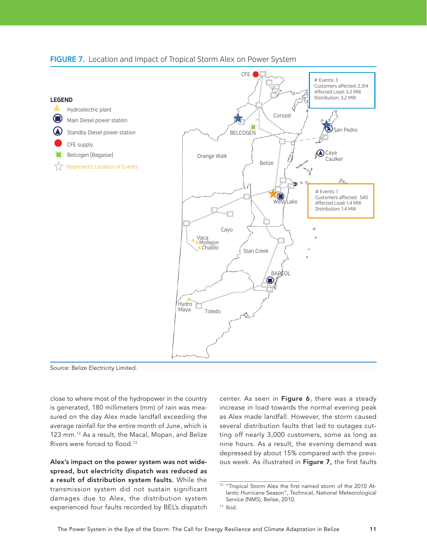



close to where most of the hydropower in the country is generated, 180 millimeters (mm) of rain was measured on the day Alex made landfall exceeding the average rainfall for the entire month of June, which is 123 mm.<sup>12</sup> As a result, the Macal, Mopan, and Belize Rivers were forced to flood.13

**Alex's impact on the power system was not widespread, but electricity dispatch was reduced as a result of distribution system faults.** While the transmission system did not sustain significant damages due to Alex, the distribution system experienced four faults recorded by BEL's dispatch

center. As seen in **Figure 6**, there was a steady increase in load towards the normal evening peak as Alex made landfall. However, the storm caused several distribution faults that led to outages cutting off nearly 3,000 customers, some as long as nine hours. As a result, the evening demand was depressed by about 15% compared with the previous week. As illustrated in **Figure 7,** the first faults

<sup>&</sup>lt;sup>12</sup> "Tropical Storm Alex the first named storm of the 2010 Atlantic Hurricane Season", Technical, National Meteorological Service (NMS), Belize, 2010.

 $13$  Ibid.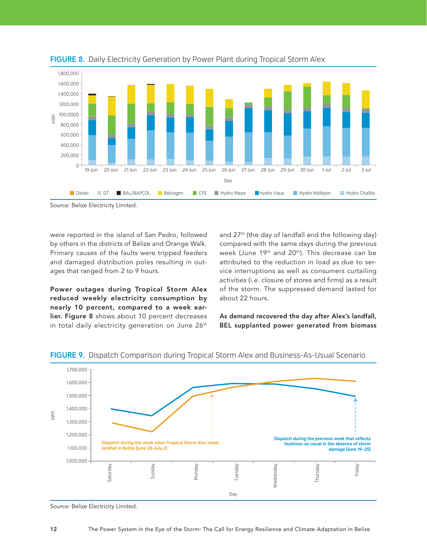



were reported in the island of San Pedro, followed by others in the districts of Belize and Orange Walk. Primary causes of the faults were tripped feeders and damaged distribution poles resulting in outages that ranged from 2 to 9 hours.

**Power outages during Tropical Storm Alex reduced weekly electricity consumption by nearly 10 percent, compared to a week earlier. Figure 8** shows about 10 percent decreases in total daily electricity generation on June 26<sup>th</sup>

and  $27<sup>th</sup>$  (the day of landfall and the following day) compared with the same days during the previous week (June 19<sup>th</sup> and 20<sup>th</sup>). This decrease can be attributed to the reduction in load as due to service interruptions as well as consumers curtailing activities (i.e. closure of stores and firms) as a result of the storm. The suppressed demand lasted for about 22 hours.

**As demand recovered the day after Alex's landfall, BEL supplanted power generated from biomass** 



**FIGURE 9.** Dispatch Comparison during Tropical Storm Alex and Business-As-Usual Scenario

Source: Belize Electricity Limited.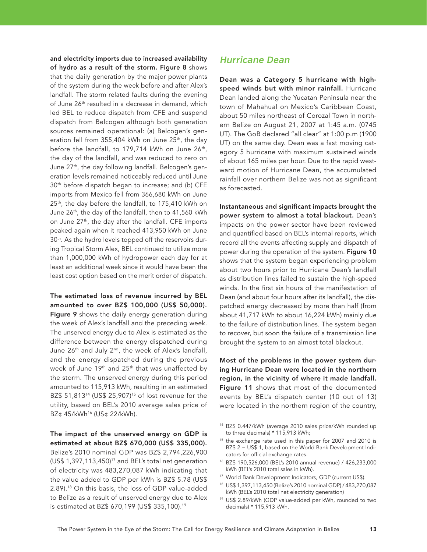**and electricity imports due to increased availability of hydro as a result of the storm. Figure 8** shows that the daily generation by the major power plants of the system during the week before and after Alex's landfall. The storm related faults during the evening of June 26<sup>th</sup> resulted in a decrease in demand, which led BEL to reduce dispatch from CFE and suspend dispatch from Belcogen although both generation sources remained operational: (a) Belcogen's generation fell from 355,404 kWh on June 25<sup>th</sup>, the day before the landfall, to 179,714 kWh on June 26<sup>th</sup>, the day of the landfall, and was reduced to zero on June 27<sup>th</sup>, the day following landfall. Belcogen's generation levels remained noticeably reduced until June 30<sup>th</sup> before dispatch began to increase; and (b) CFE imports from Mexico fell from 366,680 kWh on June 25<sup>th</sup>, the day before the landfall, to 175,410 kWh on June 26<sup>th</sup>, the day of the landfall, then to 41,560 kWh on June 27<sup>th</sup>, the day after the landfall. CFE imports peaked again when it reached 413,950 kWh on June 30<sup>th</sup>. As the hydro levels topped off the reservoirs during Tropical Storm Alex, BEL continued to utilize more than 1,000,000 kWh of hydropower each day for at least an additional week since it would have been the least cost option based on the merit order of dispatch.

**The estimated loss of revenue incurred by BEL amounted to over BZ\$ 100,000 (US\$ 50,000). Figure 9** shows the daily energy generation during the week of Alex's landfall and the preceding week. The unserved energy due to Alex is estimated as the difference between the energy dispatched during June 26<sup>th</sup> and July 2<sup>nd</sup>, the week of Alex's landfall, and the energy dispatched during the previous week of June 19th and 25th that was unaffected by the storm. The unserved energy during this period amounted to 115,913 kWh, resulting in an estimated BZ\$ 51,81314 (US\$ 25,907)15 of lost revenue for the utility, based on BEL's 2010 average sales price of BZ¢ 45/kWh16 (US¢ 22/kWh).

**The impact of the unserved energy on GDP is estimated at about BZ\$ 670,000 (US\$ 335,000).**  Belize's 2010 nominal GDP was BZ\$ 2,794,226,900 (US\$  $1,397,113,450$ )<sup>17</sup> and BEL's total net generation of electricity was 483,270,087 kWh indicating that the value added to GDP per kWh is BZ\$ 5.78 (US\$ 2.89).18 On this basis, the loss of GDP value-added to Belize as a result of unserved energy due to Alex is estimated at BZ\$ 670,199 (US\$ 335,100).19

#### **Hurricane Dean**

**Dean was a Category 5 hurricane with highspeed winds but with minor rainfall.** Hurricane Dean landed along the Yucatan Peninsula near the town of Mahahual on Mexico's Caribbean Coast, about 50 miles northeast of Corozal Town in northern Belize on August 21, 2007 at 1:45 a.m. (0745 UT). The GoB declared "all clear" at 1:00 p.m (1900 UT) on the same day. Dean was a fast moving category 5 hurricane with maximum sustained winds of about 165 miles per hour. Due to the rapid westward motion of Hurricane Dean, the accumulated rainfall over northern Belize was not as significant as forecasted.

**Instantaneous and significant impacts brought the power system to almost a total blackout.** Dean's impacts on the power sector have been reviewed and quantified based on BEL's internal reports, which record all the events affecting supply and dispatch of power during the operation of the system. **Figure 10** shows that the system began experiencing problem about two hours prior to Hurricane Dean's landfall as distribution lines failed to sustain the high-speed winds. In the first six hours of the manifestation of Dean (and about four hours after its landfall), the dispatched energy decreased by more than half (from about 41,717 kWh to about 16,224 kWh) mainly due to the failure of distribution lines. The system began to recover, but soon the failure of a transmission line brought the system to an almost total blackout.

**Most of the problems in the power system during Hurricane Dean were located in the northern region, in the vicinity of where it made landfall. Figure 11** shows that most of the documented events by BEL's dispatch center (10 out of 13) were located in the northern region of the country,

- 18 US\$ 1,397,113,450 (Belize's 2010 nominal GDP) / 483,270,087 kWh (BEL's 2010 total net electricity generation)
- 19 US\$ 2.89/kWh (GDP value-added per kWh, rounded to two decimals) \* 115,913 kWh.

<sup>14</sup> BZ\$ 0.447/kWh (average 2010 sales price/kWh rounded up to three decimals) \* 115,913 kWh;

<sup>&</sup>lt;sup>15</sup> the exchange rate used in this paper for 2007 and 2010 is BZ\$ 2 = US\$ 1, based on the World Bank Development Indicators for official exchange rates.

<sup>16</sup> BZ\$ 190,526,000 (BEL's 2010 annual revenue) / 426,233,000 kWh (BEL's 2010 total sales in kWh).

<sup>17</sup> World Bank Development Indicators, GDP (current US\$).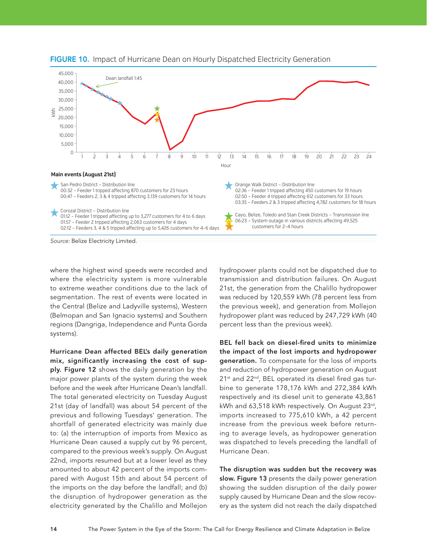



where the highest wind speeds were recorded and where the electricity system is more vulnerable to extreme weather conditions due to the lack of segmentation. The rest of events were located in the Central (Belize and Ladyville systems), Western (Belmopan and San Ignacio systems) and Southern regions (Dangriga, Independence and Punta Gorda systems).

**Hurricane Dean affected BEL's daily generation mix, significantly increasing the cost of supply. Figure 12** shows the daily generation by the major power plants of the system during the week before and the week after Hurricane Dean's landfall. The total generated electricity on Tuesday August 21st (day of landfall) was about 54 percent of the previous and following Tuesdays' generation. The shortfall of generated electricity was mainly due to: (a) the interruption of imports from Mexico as Hurricane Dean caused a supply cut by 96 percent, compared to the previous week's supply. On August 22nd, imports resumed but at a lower level as they amounted to about 42 percent of the imports compared with August 15th and about 54 percent of the imports on the day before the landfall; and (b) the disruption of hydropower generation as the electricity generated by the Chalillo and Mollejon

hydropower plants could not be dispatched due to transmission and distribution failures. On August 21st, the generation from the Chalillo hydropower was reduced by 120,559 kWh (78 percent less from the previous week), and generation from Mollejon hydropower plant was reduced by 247,729 kWh (40 percent less than the previous week).

**BEL fell back on diesel-fired units to minimize the impact of the lost imports and hydropower generation.** To compensate for the loss of imports and reduction of hydropower generation on August 21<sup>st</sup> and 22<sup>nd</sup>, BEL operated its diesel fired gas turbine to generate 178,176 kWh and 272,384 kWh respectively and its diesel unit to generate 43,861 kWh and 63,518 kWh respectively. On August 23rd, imports increased to 775,610 kWh, a 42 percent increase from the previous week before returning to average levels, as hydropower generation was dispatched to levels preceding the landfall of Hurricane Dean.

**The disruption was sudden but the recovery was slow. Figure 13** presents the daily power generation showing the sudden disruption of the daily power supply caused by Hurricane Dean and the slow recovery as the system did not reach the daily dispatched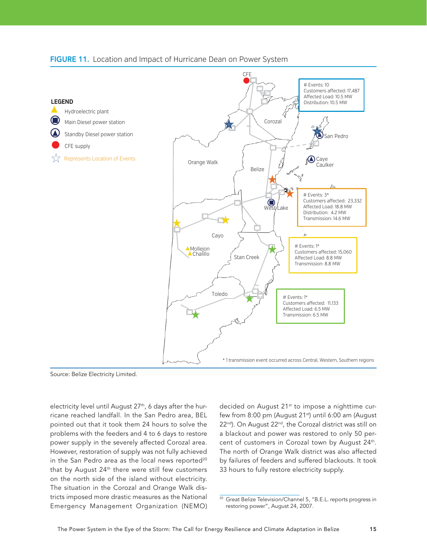

#### **FIGURE 11.** Location and Impact of Hurricane Dean on Power System

Source: Belize Electricity Limited.

electricity level until August 27<sup>th</sup>, 6 days after the hurricane reached landfall. In the San Pedro area, BEL pointed out that it took them 24 hours to solve the problems with the feeders and 4 to 6 days to restore power supply in the severely affected Corozal area. However, restoration of supply was not fully achieved in the San Pedro area as the local news reported $20$ that by August  $24<sup>th</sup>$  there were still few customers on the north side of the island without electricity. The situation in the Corozal and Orange Walk districts imposed more drastic measures as the National Emergency Management Organization (NEMO)

decided on August 21<sup>st</sup> to impose a nighttime curfew from 8:00 pm (August 21<sup>st</sup>) until 6:00 am (August 22<sup>nd</sup>). On August 22<sup>nd</sup>, the Corozal district was still on a blackout and power was restored to only 50 percent of customers in Corozal town by August 24<sup>th</sup>. The north of Orange Walk district was also affected by failures of feeders and suffered blackouts. It took 33 hours to fully restore electricity supply.

<sup>20</sup> Great Belize Television/Channel 5, "B.E.L. reports progress in restoring power", August 24, 2007.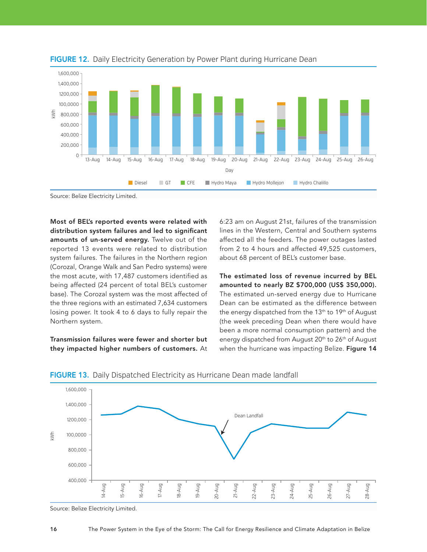



**Most of BEL's reported events were related with distribution system failures and led to significant amounts of un-served energy.** Twelve out of the reported 13 events were related to distribution system failures. The failures in the Northern region (Corozal, Orange Walk and San Pedro systems) were the most acute, with 17,487 customers identified as being affected (24 percent of total BEL's customer base). The Corozal system was the most affected of the three regions with an estimated 7,634 customers losing power. It took 4 to 6 days to fully repair the Northern system.

**Transmission failures were fewer and shorter but they impacted higher numbers of customers.** At

6:23 am on August 21st, failures of the transmission lines in the Western, Central and Southern systems affected all the feeders. The power outages lasted from 2 to 4 hours and affected 49,525 customers, about 68 percent of BEL's customer base.

**The estimated loss of revenue incurred by BEL amounted to nearly BZ \$700,000 (US\$ 350,000).**  The estimated un-served energy due to Hurricane Dean can be estimated as the difference between the energy dispatched from the 13<sup>th</sup> to 19<sup>th</sup> of August (the week preceding Dean when there would have been a more normal consumption pattern) and the energy dispatched from August 20<sup>th</sup> to 26<sup>th</sup> of August when the hurricane was impacting Belize. **Figure 14**



**FIGURE 13.** Daily Dispatched Electricity as Hurricane Dean made landfall

Source: Belize Electricity Limited.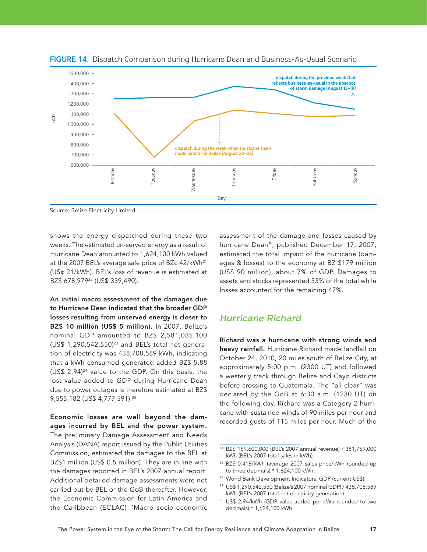



shows the energy dispatched during these two weeks. The estimated un-served energy as a result of Hurricane Dean amounted to 1,624,100 kWh valued at the 2007 BEL's average sale price of BZ¢ 42/kWh<sup>21</sup> (US¢ 21/kWh). BEL's loss of revenue is estimated at BZ\$ 678,97922 (US\$ 339,490).

**An initial macro assessment of the damages due to Hurricane Dean indicated that the broader GDP losses resulting from unserved energy is closer to BZ\$ 10 million (US\$ 5 million).** In 2007, Belize's nominal GDP amounted to BZ\$ 2,581,085,100 (US\$  $1,290,542,550)$ <sup>23</sup> and BEL's total net generation of electricity was 438,708,589 kWh, indicating that a kWh consumed generated added BZ\$ 5.88 (US\$ 2.94)24 value to the GDP. On this basis, the lost value added to GDP during Hurricane Dean due to power outages is therefore estimated at BZ\$ 9,555,182 (US\$ 4,777,591).25

**Economic losses are well beyond the damages incurred by BEL and the power system.** The preliminary Damage Assessment and Needs Analysis (DANA) report issued by the Public Utilities Commission, estimated the damages to the BEL at BZ\$1 million (US\$ 0.5 million). They are in line with the damages reported in BEL's 2007 annual report. Additional detailed damage assessments were not carried out by BEL or the GoB thereafter. However, the Economic Commission for Latin America and the Caribbean (ECLAC) "Macro socio-economic

assessment of the damage and losses caused by hurricane Dean", published December 17, 2007, estimated the total impact of the hurricane (damages & losses) to the economy at BZ \$179 million (US\$ 90 million), about 7% of GDP. Damages to assets and stocks represented 53% of the total while losses accounted for the remaining 47%.

#### **Hurricane Richard**

**Richard was a hurricane with strong winds and heavy rainfall.** Hurricane Richard made landfall on October 24, 2010, 20 miles south of Belize City, at approximately 5:00 p.m. (2300 UT) and followed a westerly track through Belize and Cayo districts before crossing to Guatemala. The "all clear" was declared by the GoB at 6:30 a.m. (1230 UT) on the following day. Richard was a Category 2 hurricane with sustained winds of 90 miles per hour and recorded gusts of 115 miles per hour. Much of the

<sup>21</sup> BZ\$ 159,600,000 (BEL's 2007 annual revenue) / 381,759,000 kWh (BEL's 2007 total sales in kWh).

<sup>22</sup> BZ\$ 0.418/kWh (average 2007 sales price/kWh rounded up to three decimals) \* 1,624,100 kWh.

<sup>&</sup>lt;sup>23</sup> World Bank Development Indicators, GDP (current US\$).

<sup>24</sup> US\$ 1,290,542,550 (Belize's 2007 nominal GDP) / 438,708,589 kWh (BEL's 2007 total net electricity generation).

<sup>25</sup> US\$ 2.94/kWh (GDP value-added per kWh rounded to two decimals) \* 1,624,100 kWh.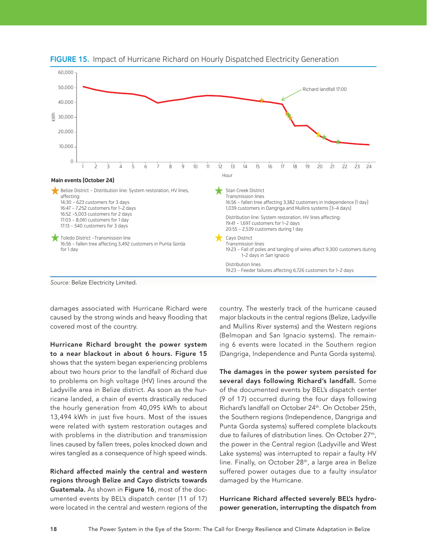



damages associated with Hurricane Richard were caused by the strong winds and heavy flooding that covered most of the country.

**Hurricane Richard brought the power system to a near blackout in about 6 hours. Figure 15** shows that the system began experiencing problems about two hours prior to the landfall of Richard due to problems on high voltage (HV) lines around the Ladyville area in Belize district. As soon as the hurricane landed, a chain of events drastically reduced the hourly generation from 40,095 kWh to about 13,494 kWh in just five hours. Most of the issues were related with system restoration outages and with problems in the distribution and transmission lines caused by fallen trees, poles knocked down and wires tangled as a consequence of high speed winds.

**Richard affected mainly the central and western regions through Belize and Cayo districts towards Guatemala.** As shown in **Figure 16**, most of the documented events by BEL's dispatch center (11 of 17) were located in the central and western regions of the

country. The westerly track of the hurricane caused major blackouts in the central regions (Belize, Ladyville and Mullins River systems) and the Western regions (Belmopan and San Ignacio systems). The remaining 6 events were located in the Southern region (Dangriga, Independence and Punta Gorda systems).

**The damages in the power system persisted for several days following Richard's landfall.** Some of the documented events by BEL's dispatch center (9 of 17) occurred during the four days following Richard's landfall on October 24<sup>th</sup>. On October 25th, the Southern regions (Independence, Dangriga and Punta Gorda systems) suffered complete blackouts due to failures of distribution lines. On October 27<sup>th</sup>, the power in the Central region (Ladyville and West Lake systems) was interrupted to repair a faulty HV line. Finally, on October 28th, a large area in Belize suffered power outages due to a faulty insulator damaged by the Hurricane.

**Hurricane Richard affected severely BEL's hydropower generation, interrupting the dispatch from**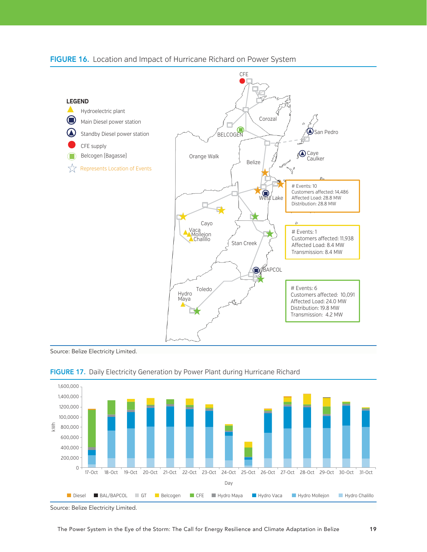

#### **FIGURE 16.** Location and Impact of Hurricane Richard on Power System

Source: Belize Electricity Limited.





Source: Belize Electricity Limited.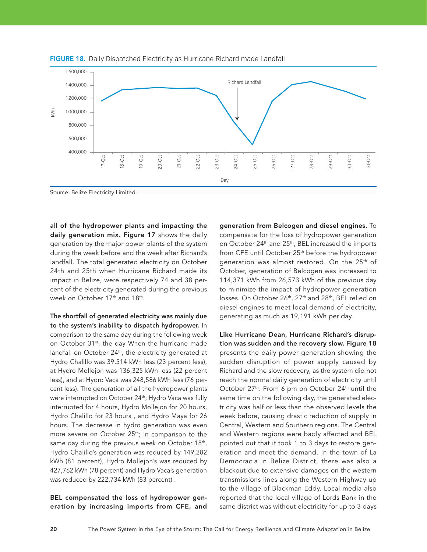

**FIGURE 18.** Daily Dispatched Electricity as Hurricane Richard made Landfall

**all of the hydropower plants and impacting the daily generation mix. Figure 17** shows the daily generation by the major power plants of the system during the week before and the week after Richard's landfall. The total generated electricity on October 24th and 25th when Hurricane Richard made its impact in Belize, were respectively 74 and 38 percent of the electricity generated during the previous week on October 17<sup>th</sup> and 18<sup>th</sup>.

**The shortfall of generated electricity was mainly due to the system's inability to dispatch hydropower.** In comparison to the same day during the following week on October 31st, the day When the hurricane made landfall on October 24<sup>th</sup>, the electricity generated at Hydro Chalillo was 39,514 kWh less (23 percent less), at Hydro Mollejon was 136,325 kWh less (22 percent less), and at Hydro Vaca was 248,586 kWh less (76 percent less). The generation of all the hydropower plants were interrupted on October 24<sup>th</sup>; Hydro Vaca was fully interrupted for 4 hours, Hydro Mollejon for 20 hours, Hydro Chalillo for 23 hours , and Hydro Maya for 26 hours. The decrease in hydro generation was even more severe on October  $25<sup>th</sup>$ ; in comparison to the same day during the previous week on October 18<sup>th</sup>, Hydro Chalillo's generation was reduced by 149,282 kWh (81 percent), Hydro Mollejon's was reduced by 427,762 kWh (78 percent) and Hydro Vaca's generation was reduced by 222,734 kWh (83 percent) .

**BEL compensated the loss of hydropower generation by increasing imports from CFE, and**  **generation from Belcogen and diesel engines.** To compensate for the loss of hydropower generation on October 24<sup>th</sup> and 25<sup>th</sup>, BEL increased the imports from CFE until October 25<sup>th</sup> before the hydropower generation was almost restored. On the 25th of October, generation of Belcogen was increased to 114,371 kWh from 26,573 kWh of the previous day to minimize the impact of hydropower generation losses. On October 26<sup>th</sup>, 27<sup>th</sup> and 28<sup>th</sup>, BEL relied on diesel engines to meet local demand of electricity, generating as much as 19,191 kWh per day.

**Like Hurricane Dean, Hurricane Richard's disruption was sudden and the recovery slow. Figure 18**  presents the daily power generation showing the sudden disruption of power supply caused by Richard and the slow recovery, as the system did not reach the normal daily generation of electricity until October 27<sup>th</sup>. From 6 pm on October 24<sup>th</sup> until the same time on the following day, the generated electricity was half or less than the observed levels the week before, causing drastic reduction of supply in Central, Western and Southern regions. The Central and Western regions were badly affected and BEL pointed out that it took 1 to 3 days to restore generation and meet the demand. In the town of La Democracia in Belize District, there was also a blackout due to extensive damages on the western transmissions lines along the Western Highway up to the village of Blackman Eddy. Local media also reported that the local village of Lords Bank in the same district was without electricity for up to 3 days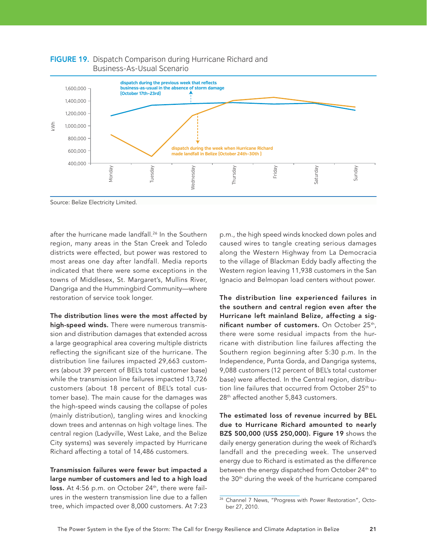

#### **FIGURE 19.** Dispatch Comparison during Hurricane Richard and Business-As-Usual Scenario

Source: Belize Electricity Limited.

after the hurricane made landfall.<sup>26</sup> In the Southern region, many areas in the Stan Creek and Toledo districts were effected, but power was restored to most areas one day after landfall. Media reports indicated that there were some exceptions in the towns of Middlesex, St. Margaret's, Mullins River, Dangriga and the Hummingbird Community—where restoration of service took longer.

**The distribution lines were the most affected by high-speed winds.** There were numerous transmission and distribution damages that extended across a large geographical area covering multiple districts reflecting the significant size of the hurricane. The distribution line failures impacted 29,663 customers (about 39 percent of BEL's total customer base) while the transmission line failures impacted 13,726 customers (about 18 percent of BEL's total customer base). The main cause for the damages was the high-speed winds causing the collapse of poles (mainly distribution), tangling wires and knocking down trees and antennas on high voltage lines. The central region (Ladyville, West Lake, and the Belize City systems) was severely impacted by Hurricane Richard affecting a total of 14,486 customers.

**Transmission failures were fewer but impacted a large number of customers and led to a high load**  loss. At 4:56 p.m. on October 24<sup>th</sup>, there were failures in the western transmission line due to a fallen tree, which impacted over 8,000 customers. At 7:23

p.m., the high speed winds knocked down poles and caused wires to tangle creating serious damages along the Western Highway from La Democracia to the village of Blackman Eddy badly affecting the Western region leaving 11,938 customers in the San Ignacio and Belmopan load centers without power.

**The distribution line experienced failures in the southern and central region even after the Hurricane left mainland Belize, affecting a sig**nificant number of customers. On October 25th, there were some residual impacts from the hurricane with distribution line failures affecting the Southern region beginning after 5:30 p.m. In the Independence, Punta Gorda, and Dangriga systems, 9,088 customers (12 percent of BEL's total customer base) were affected. In the Central region, distribution line failures that occurred from October 25<sup>th</sup> to 28th affected another 5,843 customers.

**The estimated loss of revenue incurred by BEL due to Hurricane Richard amounted to nearly BZ\$ 500,000 (US\$ 250,000). Figure 19** shows the daily energy generation during the week of Richard's landfall and the preceding week. The unserved energy due to Richard is estimated as the difference between the energy dispatched from October 24<sup>th</sup> to the 30<sup>th</sup> during the week of the hurricane compared

<sup>&</sup>lt;sup>26</sup> Channel 7 News, "Progress with Power Restoration", October 27, 2010.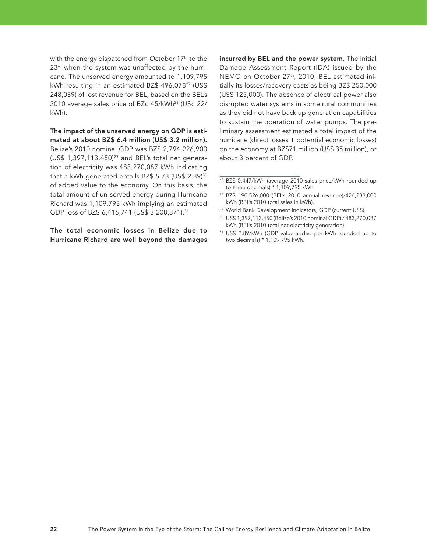with the energy dispatched from October  $17<sup>th</sup>$  to the 23<sup>rd</sup> when the system was unaffected by the hurricane. The unserved energy amounted to 1,109,795 kWh resulting in an estimated BZ\$ 496,07827 (US\$ 248,039) of lost revenue for BEL, based on the BEL's 2010 average sales price of BZ¢ 45/kWh<sup>28</sup> (US¢ 22/ kWh).

**The impact of the unserved energy on GDP is estimated at about BZ\$ 6.4 million (US\$ 3.2 million).**  Belize's 2010 nominal GDP was BZ\$ 2,794,226,900 (US\$ 1,397,113,450) $^{29}$  and BEL's total net generation of electricity was 483,270,087 kWh indicating that a kWh generated entails BZ\$ 5.78 (US\$ 2.89)<sup>30</sup> of added value to the economy. On this basis, the total amount of un-served energy during Hurricane Richard was 1,109,795 kWh implying an estimated GDP loss of BZ\$ 6,416,741 (US\$ 3,208,371).31

**The total economic losses in Belize due to Hurricane Richard are well beyond the damages**  **incurred by BEL and the power system.** The Initial Damage Assessment Report (IDA) issued by the NEMO on October 27<sup>th</sup>, 2010, BEL estimated initially its losses/recovery costs as being BZ\$ 250,000 (US\$ 125,000). The absence of electrical power also disrupted water systems in some rural communities as they did not have back up generation capabilities to sustain the operation of water pumps. The preliminary assessment estimated a total impact of the hurricane (direct losses + potential economic losses) on the economy at BZ\$71 million (US\$ 35 million), or about 3 percent of GDP.

<sup>29</sup> World Bank Development Indicators, GDP (current US\$).

30 US\$ 1,397,113,450 (Belize's 2010 nominal GDP) / 483,270,087 kWh (BEL's 2010 total net electricity generation).

31 US\$ 2.89/kWh (GDP value-added per kWh rounded up to two decimals) \* 1,109,795 kWh.

<sup>27</sup> BZ\$ 0.447/kWh (average 2010 sales price/kWh rounded up to three decimals) \* 1,109,795 kWh.

<sup>28</sup> BZ\$ 190,526,000 (BEL's 2010 annual revenue)/426,233,000 kWh (BEL's 2010 total sales in kWh).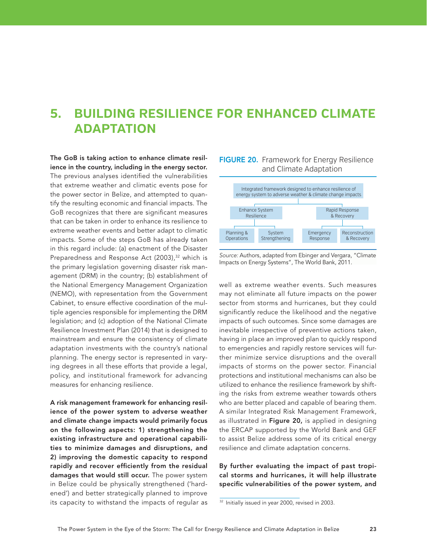## **5. BUILDING RESILIENCE FOR ENHANCED CLIMATE ADAPTATION**

**The GoB is taking action to enhance climate resilience in the country, including in the energy sector.**  The previous analyses identified the vulnerabilities that extreme weather and climatic events pose for the power sector in Belize, and attempted to quantify the resulting economic and financial impacts. The GoB recognizes that there are significant measures that can be taken in order to enhance its resilience to extreme weather events and better adapt to climatic impacts. Some of the steps GoB has already taken in this regard include: (a) enactment of the Disaster Preparedness and Response Act (2003),<sup>32</sup> which is the primary legislation governing disaster risk management (DRM) in the country; (b) establishment of the National Emergency Management Organization (NEMO), with representation from the Government Cabinet, to ensure effective coordination of the multiple agencies responsible for implementing the DRM legislation; and (c) adoption of the National Climate Resilience Investment Plan (2014) that is designed to mainstream and ensure the consistency of climate adaptation investments with the country's national planning. The energy sector is represented in varying degrees in all these efforts that provide a legal, policy, and institutional framework for advancing measures for enhancing resilience.

**A risk management framework for enhancing resilience of the power system to adverse weather and climate change impacts would primarily focus on the following aspects: 1) strengthening the existing infrastructure and operational capabilities to minimize damages and disruptions, and 2) improving the domestic capacity to respond rapidly and recover efficiently from the residual damages that would still occur.** The power system in Belize could be physically strengthened ('hardened') and better strategically planned to improve its capacity to withstand the impacts of regular as





Source: Authors, adapted from Ebinger and Vergara, "Climate Impacts on Energy Systems", The World Bank, 2011.

well as extreme weather events. Such measures may not eliminate all future impacts on the power sector from storms and hurricanes, but they could significantly reduce the likelihood and the negative impacts of such outcomes. Since some damages are inevitable irrespective of preventive actions taken, having in place an improved plan to quickly respond to emergencies and rapidly restore services will further minimize service disruptions and the overall impacts of storms on the power sector. Financial protections and institutional mechanisms can also be utilized to enhance the resilience framework by shifting the risks from extreme weather towards others who are better placed and capable of bearing them. A similar Integrated Risk Management Framework, as illustrated in **Figure 20,** is applied in designing the ERCAP supported by the World Bank and GEF to assist Belize address some of its critical energy resilience and climate adaptation concerns.

**By further evaluating the impact of past tropical storms and hurricanes, it will help illustrate specific vulnerabilities of the power system, and** 

 $32$  Initially issued in year 2000, revised in 2003.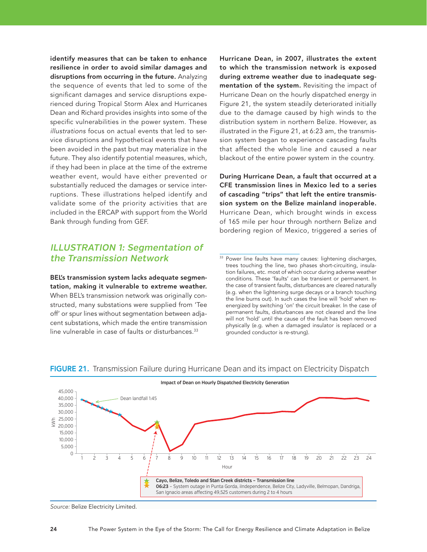**identify measures that can be taken to enhance resilience in order to avoid similar damages and disruptions from occurring in the future.** Analyzing the sequence of events that led to some of the significant damages and service disruptions experienced during Tropical Storm Alex and Hurricanes Dean and Richard provides insights into some of the specific vulnerabilities in the power system. These illustrations focus on actual events that led to service disruptions and hypothetical events that have been avoided in the past but may materialize in the future. They also identify potential measures, which, if they had been in place at the time of the extreme weather event, would have either prevented or substantially reduced the damages or service interruptions. These illustrations helped identify and validate some of the priority activities that are included in the ERCAP with support from the World Bank through funding from GEF.

#### **ILLUSTRATION 1: Segmentation of the Transmission Network**

**BEL's transmission system lacks adequate segmentation, making it vulnerable to extreme weather.** When BEL's transmission network was originally constructed, many substations were supplied from 'Tee off' or spur lines without segmentation between adjacent substations, which made the entire transmission line vulnerable in case of faults or disturbances.<sup>33</sup>

**Hurricane Dean, in 2007, illustrates the extent to which the transmission network is exposed during extreme weather due to inadequate segmentation of the system.** Revisiting the impact of Hurricane Dean on the hourly dispatched energy in Figure 21, the system steadily deteriorated initially due to the damage caused by high winds to the distribution system in northern Belize. However, as illustrated in the Figure 21, at 6:23 am, the transmission system began to experience cascading faults that affected the whole line and caused a near blackout of the entire power system in the country.

**During Hurricane Dean, a fault that occurred at a CFE transmission lines in Mexico led to a series of cascading "trips" that left the entire transmission system on the Belize mainland inoperable.** Hurricane Dean, which brought winds in excess of 165 mile per hour through northern Belize and bordering region of Mexico, triggered a series of



#### **FIGURE 21.** Transmission Failure during Hurricane Dean and its impact on Electricity Dispatch

<sup>&</sup>lt;sup>33</sup> Power line faults have many causes: lightening discharges, trees touching the line, two phases short-circuiting, insulation failures, etc. most of which occur during adverse weather conditions. These 'faults' can be transient or permanent. In the case of transient faults, disturbances are cleared naturally (e.g. when the lightening surge decays or a branch touching the line burns out). In such cases the line will 'hold' when reenergized by switching 'on' the circuit breaker. In the case of permanent faults, disturbances are not cleared and the line will not 'hold' until the cause of the fault has been removed physically (e.g. when a damaged insulator is replaced or a grounded conductor is re-strung).

Source: Belize Electricity Limited.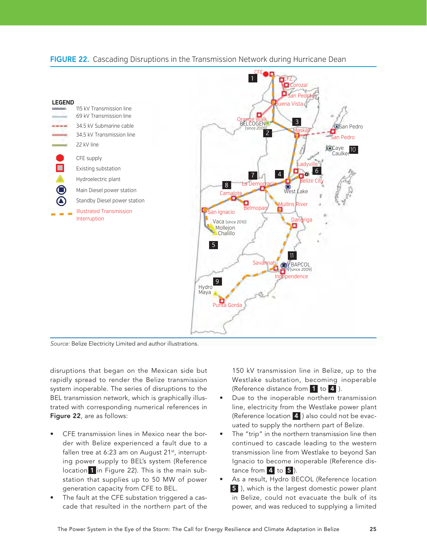

#### **FIGURE 22.** Cascading Disruptions in the Transmission Network during Hurricane Dean

Source: Belize Electricity Limited and author illustrations.

disruptions that began on the Mexican side but rapidly spread to render the Belize transmission system inoperable. The series of disruptions to the BEL transmission network, which is graphically illustrated with corresponding numerical references in **Figure 22**, are as follows:

- CFE transmission lines in Mexico near the border with Belize experienced a fault due to a fallen tree at 6:23 am on August 21<sup>st</sup>, interrupting power supply to BEL's system (Reference location **1** in Figure 22). This is the main substation that supplies up to 50 MW of power generation capacity from CFE to BEL.
- The fault at the CFE substation triggered a cascade that resulted in the northern part of the

150 kV transmission line in Belize, up to the Westlake substation, becoming inoperable (Reference distance from **1** to **4** ).

- Due to the inoperable northern transmission line, electricity from the Westlake power plant (Reference location **4** ) also could not be evacuated to supply the northern part of Belize.
- The "trip" in the northern transmission line then continued to cascade leading to the western transmission line from Westlake to beyond San Ignacio to become inoperable (Reference distance from **4** to **5** ).
- As a result, Hydro BECOL (Reference location **5** ), which is the largest domestic power plant in Belize, could not evacuate the bulk of its power, and was reduced to supplying a limited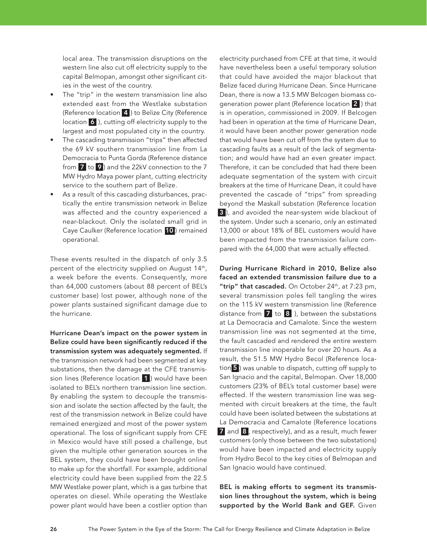local area. The transmission disruptions on the western line also cut off electricity supply to the capital Belmopan, amongst other significant cities in the west of the country.

- The "trip" in the western transmission line also extended east from the Westlake substation (Reference location **4** ) to Belize City (Reference location **6** ), cutting off electricity supply to the largest and most populated city in the country.
- The cascading transmission "trips" then affected the 69 kV southern transmission line from La Democracia to Punta Gorda (Reference distance from **7** to **9** ) and the 22kV connection to the 7 MW Hydro Maya power plant, cutting electricity service to the southern part of Belize.
- As a result of this cascading disturbances, practically the entire transmission network in Belize was affected and the country experienced a near-blackout. Only the isolated small grid in Caye Caulker (Reference location **10** ) remained operational.

These events resulted in the dispatch of only 3.5 percent of the electricity supplied on August 14<sup>th</sup>, a week before the events. Consequently, more than 64,000 customers (about 88 percent of BEL's customer base) lost power, although none of the power plants sustained significant damage due to the hurricane.

**Hurricane Dean's impact on the power system in Belize could have been significantly reduced if the transmission system was adequately segmented.** If the transmission network had been segmented at key substations, then the damage at the CFE transmission lines (Reference location **1** ) would have been isolated to BEL's northern transmission line section. By enabling the system to decouple the transmission and isolate the section affected by the fault, the rest of the transmission network in Belize could have remained energized and most of the power system operational. The loss of significant supply from CFE in Mexico would have still posed a challenge, but given the multiple other generation sources in the BEL system, they could have been brought online to make up for the shortfall. For example, additional electricity could have been supplied from the 22.5 MW Westlake power plant, which is a gas turbine that operates on diesel. While operating the Westlake power plant would have been a costlier option than

electricity purchased from CFE at that time, it would have nevertheless been a useful temporary solution that could have avoided the major blackout that Belize faced during Hurricane Dean. Since Hurricane Dean, there is now a 13.5 MW Belcogen biomass cogeneration power plant (Reference location **2** ) that is in operation, commissioned in 2009. If Belcogen had been in operation at the time of Hurricane Dean, it would have been another power generation node that would have been cut off from the system due to cascading faults as a result of the lack of segmentation; and would have had an even greater impact. Therefore, it can be concluded that had there been adequate segmentation of the system with circuit breakers at the time of Hurricane Dean, it could have prevented the cascade of "trips" from spreading beyond the Maskall substation (Reference location **3** ), and avoided the near-system wide blackout of the system. Under such a scenario, only an estimated 13,000 or about 18% of BEL customers would have been impacted from the transmission failure compared with the 64,000 that were actually effected.

**During Hurricane Richard in 2010, Belize also faced an extended transmission failure due to a**  "trip" that cascaded. On October 24<sup>th</sup>, at 7:23 pm, several transmission poles fell tangling the wires on the 115 kV western transmission line (Reference distance from **7** to **8** ), between the substations at La Democracia and Camalote. Since the western transmission line was not segmented at the time, the fault cascaded and rendered the entire western transmission line inoperable for over 20 hours. As a result, the 51.5 MW Hydro Becol (Reference location **5** ) was unable to dispatch, cutting off supply to San Ignacio and the capital, Belmopan. Over 18,000 customers (23% of BEL's total customer base) were effected. If the western transmission line was segmented with circuit breakers at the time, the fault could have been isolated between the substations at La Democracia and Camalote (Reference locations **7** and **8** , respectively), and as a result, much fewer customers (only those between the two substations) would have been impacted and electricity supply from Hydro Becol to the key cities of Belmopan and San Ignacio would have continued.

**BEL is making efforts to segment its transmission lines throughout the system, which is being supported by the World Bank and GEF.** Given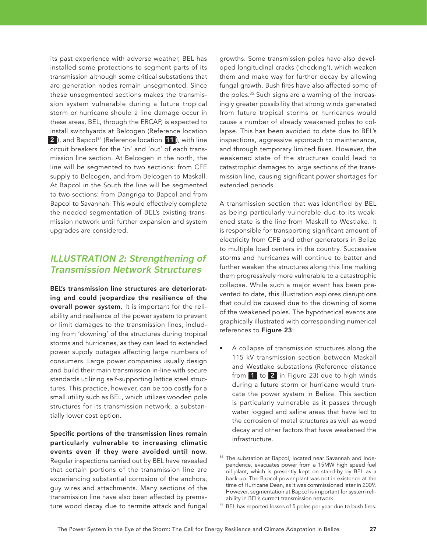its past experience with adverse weather, BEL has installed some protections to segment parts of its transmission although some critical substations that are generation nodes remain unsegmented. Since these unsegmented sections makes the transmission system vulnerable during a future tropical storm or hurricane should a line damage occur in these areas, BEL, through the ERCAP, is expected to install switchyards at Belcogen (Reference location **2** ), and Bapcol34 (Reference location **11** ), with line circuit breakers for the 'in' and 'out' of each transmission line section. At Belcogen in the north, the line will be segmented to two sections: from CFE supply to Belcogen, and from Belcogen to Maskall. At Bapcol in the South the line will be segmented to two sections: from Dangriga to Bapcol and from Bapcol to Savannah. This would effectively complete the needed segmentation of BEL's existing transmission network until further expansion and system upgrades are considered.

#### **ILLUSTRATION 2: Strengthening of Transmission Network Structures**

**BEL's transmission line structures are deteriorating and could jeopardize the resilience of the overall power system.** It is important for the reliability and resilience of the power system to prevent or limit damages to the transmission lines, including from 'downing' of the structures during tropical storms and hurricanes, as they can lead to extended power supply outages affecting large numbers of consumers. Large power companies usually design and build their main transmission in-line with secure standards utilizing self-supporting lattice steel structures. This practice, however, can be too costly for a small utility such as BEL, which utilizes wooden pole structures for its transmission network, a substantially lower cost option.

**Specific portions of the transmission lines remain particularly vulnerable to increasing climatic events even if they were avoided until now.**  Regular inspections carried out by BEL have revealed that certain portions of the transmission line are experiencing substantial corrosion of the anchors, guy wires and attachments. Many sections of the transmission line have also been affected by premature wood decay due to termite attack and fungal growths. Some transmission poles have also developed longitudinal cracks ('checking'), which weaken them and make way for further decay by allowing fungal growth. Bush fires have also affected some of the poles.35 Such signs are a warning of the increasingly greater possibility that strong winds generated from future tropical storms or hurricanes would cause a number of already weakened poles to collapse. This has been avoided to date due to BEL's inspections, aggressive approach to maintenance, and through temporary limited fixes. However, the weakened state of the structures could lead to catastrophic damages to large sections of the transmission line, causing significant power shortages for extended periods.

A transmission section that was identified by BEL as being particularly vulnerable due to its weakened state is the line from Maskall to Westlake. It is responsible for transporting significant amount of electricity from CFE and other generators in Belize to multiple load centers in the country. Successive storms and hurricanes will continue to batter and further weaken the structures along this line making them progressively more vulnerable to a catastrophic collapse. While such a major event has been prevented to date, this illustration explores disruptions that could be caused due to the downing of some of the weakened poles. The hypothetical events are graphically illustrated with corresponding numerical references to **Figure 23**:

• A collapse of transmission structures along the 115 kV transmission section between Maskall and Westlake substations (Reference distance from **1** to **2** in Figure 23) due to high winds during a future storm or hurricane would truncate the power system in Belize. This section is particularly vulnerable as it passes through water logged and saline areas that have led to the corrosion of metal structures as well as wood decay and other factors that have weakened the infrastructure.

<sup>&</sup>lt;sup>34</sup> The substation at Bapcol, located near Savannah and Independence, evacuates power from a 15MW high speed fuel oil plant, which is presently kept on stand-by by BEL as a back-up. The Bapcol power plant was not in existence at the time of Hurricane Dean, as it was commissioned later in 2009. However, segmentation at Bapcol is important for system reliability in BEL's current transmission network.

<sup>&</sup>lt;sup>35</sup> BEL has reported losses of 5 poles per year due to bush fires.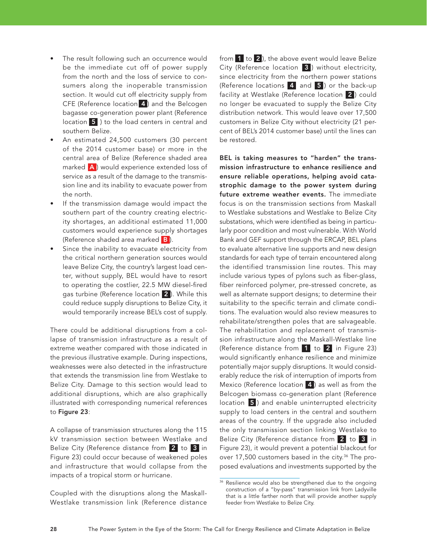- The result following such an occurrence would be the immediate cut off of power supply from the north and the loss of service to consumers along the inoperable transmission section. It would cut off electricity supply from CFE (Reference location **4** ) and the Belcogen bagasse co-generation power plant (Reference location **5** ) to the load centers in central and southern Belize.
- An estimated 24,500 customers (30 percent of the 2014 customer base) or more in the central area of Belize (Reference shaded area marked **A** ) would experience extended loss of service as a result of the damage to the transmission line and its inability to evacuate power from the north.
- If the transmission damage would impact the southern part of the country creating electricity shortages, an additional estimated 11,000 customers would experience supply shortages (Reference shaded area marked **B** ).
- Since the inability to evacuate electricity from the critical northern generation sources would leave Belize City, the country's largest load center, without supply, BEL would have to resort to operating the costlier, 22.5 MW diesel-fired gas turbine (Reference location **2** ). While this could reduce supply disruptions to Belize City, it would temporarily increase BEL's cost of supply.

There could be additional disruptions from a collapse of transmission infrastructure as a result of extreme weather compared with those indicated in the previous illustrative example. During inspections, weaknesses were also detected in the infrastructure that extends the transmission line from Westlake to Belize City. Damage to this section would lead to additional disruptions, which are also graphically illustrated with corresponding numerical references to **Figure 23**:

A collapse of transmission structures along the 115 kV transmission section between Westlake and Belize City (Reference distance from **2** to **3** in Figure 23) could occur because of weakened poles and infrastructure that would collapse from the impacts of a tropical storm or hurricane.

Coupled with the disruptions along the Maskall-Westlake transmission link (Reference distance from **1** to **2** ), the above event would leave Belize City (Reference location **3** ) without electricity, since electricity from the northern power stations (Reference locations **4** and **5** ) or the back-up facility at Westlake (Reference location **2** ) could no longer be evacuated to supply the Belize City distribution network. This would leave over 17,500 customers in Belize City without electricity (21 percent of BEL's 2014 customer base) until the lines can be restored.

**BEL is taking measures to "harden" the transmission infrastructure to enhance resilience and ensure reliable operations, helping avoid catastrophic damage to the power system during future extreme weather events.** The immediate focus is on the transmission sections from Maskall to Westlake substations and Westlake to Belize City substations, which were identified as being in particularly poor condition and most vulnerable. With World Bank and GEF support through the ERCAP, BEL plans to evaluate alternative line supports and new design standards for each type of terrain encountered along the identified transmission line routes. This may include various types of pylons such as fiber-glass, fiber reinforced polymer, pre-stressed concrete, as well as alternate support designs; to determine their suitability to the specific terrain and climate conditions. The evaluation would also review measures to rehabilitate/strengthen poles that are salvageable. The rehabilitation and replacement of transmission infrastructure along the Maskall-Westlake line (Reference distance from **1** to **2** in Figure 23) would significantly enhance resilience and minimize potentially major supply disruptions. It would considerably reduce the risk of interruption of imports from Mexico (Reference location **4** ) as well as from the Belcogen biomass co-generation plant (Reference location **5** ) and enable uninterrupted electricity supply to load centers in the central and southern areas of the country. If the upgrade also included the only transmission section linking Westlake to Belize City (Reference distance from **2** to **3** in Figure 23), it would prevent a potential blackout for over 17,500 customers based in the city.<sup>36</sup> The proposed evaluations and investments supported by the

<sup>&</sup>lt;sup>36</sup> Resilience would also be strengthened due to the ongoing construction of a "by-pass" transmission link from Ladyville that is a little farther north that will provide another supply feeder from Westlake to Belize City.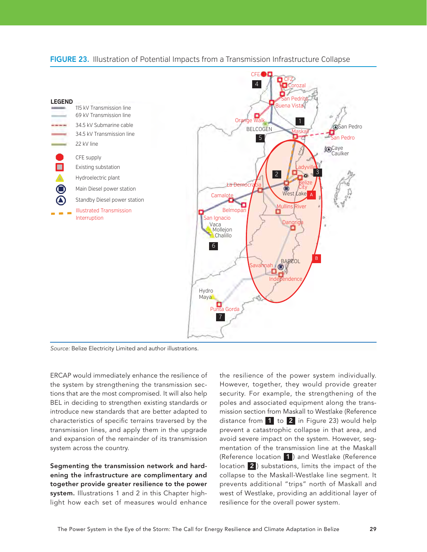

#### **FIGURE 23.** Illustration of Potential Impacts from a Transmission Infrastructure Collapse

Source: Belize Electricity Limited and author illustrations.

ERCAP would immediately enhance the resilience of the system by strengthening the transmission sections that are the most compromised. It will also help BEL in deciding to strengthen existing standards or introduce new standards that are better adapted to characteristics of specific terrains traversed by the transmission lines, and apply them in the upgrade and expansion of the remainder of its transmission system across the country.

**Segmenting the transmission network and hardening the infrastructure are complimentary and together provide greater resilience to the power system.** Illustrations 1 and 2 in this Chapter highlight how each set of measures would enhance

the resilience of the power system individually. However, together, they would provide greater security. For example, the strengthening of the poles and associated equipment along the transmission section from Maskall to Westlake (Reference distance from **1** to **2** in Figure 23) would help prevent a catastrophic collapse in that area, and avoid severe impact on the system. However, segmentation of the transmission line at the Maskall (Reference location **1** ) and Westlake (Reference location **2** ) substations, limits the impact of the collapse to the Maskall-Westlake line segment. It prevents additional "trips" north of Maskall and west of Westlake, providing an additional layer of resilience for the overall power system.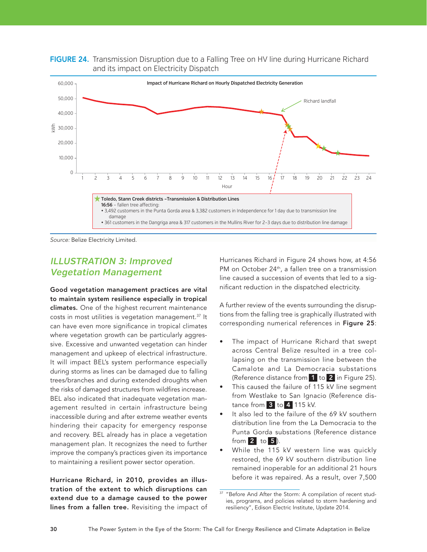

**FIGURE 24.** Transmission Disruption due to a Falling Tree on HV line during Hurricane Richard and its impact on Electricity Dispatch

Source: Belize Electricity Limited.

#### **ILLUSTRATION 3: Improved Vegetation Management**

**Good vegetation management practices are vital to maintain system resilience especially in tropical climates.** One of the highest recurrent maintenance costs in most utilities is vegetation management.37 It can have even more significance in tropical climates where vegetation growth can be particularly aggressive. Excessive and unwanted vegetation can hinder management and upkeep of electrical infrastructure. It will impact BEL's system performance especially during storms as lines can be damaged due to falling trees/branches and during extended droughts when the risks of damaged structures from wildfires increase. BEL also indicated that inadequate vegetation management resulted in certain infrastructure being inaccessible during and after extreme weather events hindering their capacity for emergency response and recovery. BEL already has in place a vegetation management plan. It recognizes the need to further improve the company's practices given its importance to maintaining a resilient power sector operation.

**Hurricane Richard, in 2010, provides an illustration of the extent to which disruptions can extend due to a damage caused to the power lines from a fallen tree.** Revisiting the impact of Hurricanes Richard in Figure 24 shows how, at 4:56 PM on October 24<sup>th</sup>, a fallen tree on a transmission line caused a succession of events that led to a significant reduction in the dispatched electricity.

A further review of the events surrounding the disruptions from the falling tree is graphically illustrated with corresponding numerical references in **Figure 25**:

- The impact of Hurricane Richard that swept across Central Belize resulted in a tree collapsing on the transmission line between the Camalote and La Democracia substations (Reference distance from **1** to **2** in Figure 25).
- This caused the failure of 115 kV line segment from Westlake to San Ignacio (Reference distance from **3** to **4**) 115 kV.
- It also led to the failure of the 69 kV southern distribution line from the La Democracia to the Punta Gorda substations (Reference distance from **2** to **5** ).
- While the 115 kV western line was quickly restored, the 69 kV southern distribution line remained inoperable for an additional 21 hours before it was repaired. As a result, over 7,500

<sup>&</sup>lt;sup>37</sup> "Before And After the Storm: A compilation of recent studies, programs, and policies related to storm hardening and resiliency", Edison Electric Institute, Update 2014.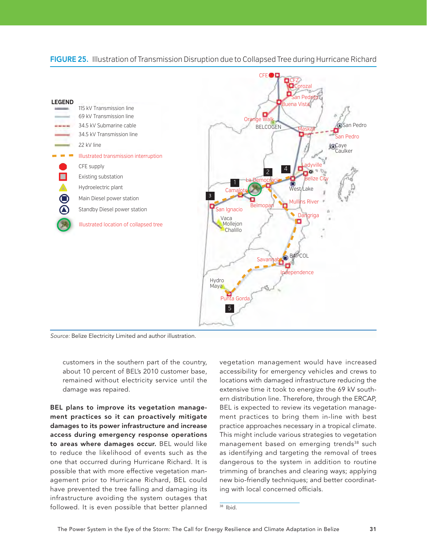

#### **FIGURE 25.** Illustration of Transmission Disruption due to Collapsed Tree during Hurricane Richard

Source: Belize Electricity Limited and author illustration.

customers in the southern part of the country, about 10 percent of BEL's 2010 customer base, remained without electricity service until the damage was repaired.

**BEL plans to improve its vegetation management practices so it can proactively mitigate damages to its power infrastructure and increase access during emergency response operations to areas where damages occur.** BEL would like to reduce the likelihood of events such as the one that occurred during Hurricane Richard. It is possible that with more effective vegetation management prior to Hurricane Richard, BEL could have prevented the tree falling and damaging its infrastructure avoiding the system outages that followed. It is even possible that better planned

vegetation management would have increased accessibility for emergency vehicles and crews to locations with damaged infrastructure reducing the extensive time it took to energize the 69 kV southern distribution line. Therefore, through the ERCAP, BEL is expected to review its vegetation management practices to bring them in-line with best practice approaches necessary in a tropical climate. This might include various strategies to vegetation management based on emerging trends<sup>38</sup> such as identifying and targeting the removal of trees dangerous to the system in addition to routine trimming of branches and clearing ways; applying new bio-friendly techniques; and better coordinating with local concerned officials.

 $38$  Ibid.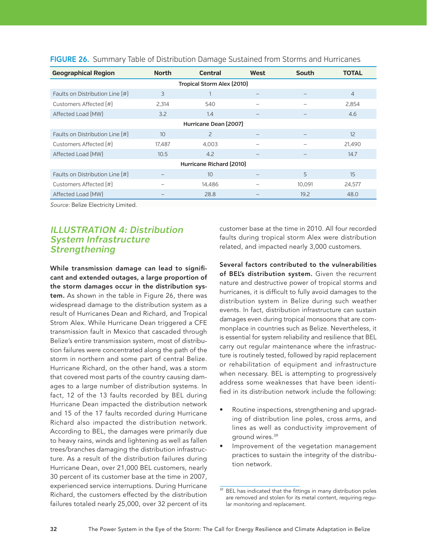| <b>Geographical Region</b>      | <b>North</b> | <b>Central</b> | West | <b>South</b> | <b>TOTAL</b>   |  |  |  |
|---------------------------------|--------------|----------------|------|--------------|----------------|--|--|--|
| Tropical Storm Alex (2010)      |              |                |      |              |                |  |  |  |
| Faults on Distribution Line [#] | 3            |                |      |              | $\overline{4}$ |  |  |  |
| Customers Affected [#]          | 2,314        | 540            |      |              | 2,854          |  |  |  |
| Affected Load [MW]              | 3.2          | 1.4            |      |              | 4.6            |  |  |  |
| Hurricane Dean (2007)           |              |                |      |              |                |  |  |  |
| Faults on Distribution Line [#] | 10           | $\overline{2}$ |      |              | 12             |  |  |  |
| Customers Affected [#]          | 17,487       | 4,003          |      |              | 21,490         |  |  |  |
| Affected Load [MW]              | 10.5         | 4.2            |      |              | 14.7           |  |  |  |
| Hurricane Richard (2010)        |              |                |      |              |                |  |  |  |
| Faults on Distribution Line [#] |              | 10             |      | 5            | 15             |  |  |  |
| Customers Affected [#]          |              | 14,486         |      | 10,091       | 24,577         |  |  |  |
| Affected Load [MW]              |              | 28.8           |      | 19.2         | 48.0           |  |  |  |

**FIGURE 26.** Summary Table of Distribution Damage Sustained from Storms and Hurricanes

Source: Belize Electricity Limited.

#### **ILLUSTRATION 4: Distribution System Infrastructure Strengthening**

**While transmission damage can lead to significant and extended outages, a large proportion of the storm damages occur in the distribution system.** As shown in the table in Figure 26, there was widespread damage to the distribution system as a result of Hurricanes Dean and Richard, and Tropical Strom Alex. While Hurricane Dean triggered a CFE transmission fault in Mexico that cascaded through Belize's entire transmission system, most of distribution failures were concentrated along the path of the storm in northern and some part of central Belize. Hurricane Richard, on the other hand, was a storm that covered most parts of the country causing damages to a large number of distribution systems. In fact, 12 of the 13 faults recorded by BEL during Hurricane Dean impacted the distribution network and 15 of the 17 faults recorded during Hurricane Richard also impacted the distribution network. According to BEL, the damages were primarily due to heavy rains, winds and lightening as well as fallen trees/branches damaging the distribution infrastructure. As a result of the distribution failures during Hurricane Dean, over 21,000 BEL customers, nearly 30 percent of its customer base at the time in 2007, experienced service interruptions. During Hurricane Richard, the customers effected by the distribution failures totaled nearly 25,000, over 32 percent of its customer base at the time in 2010. All four recorded faults during tropical storm Alex were distribution related, and impacted nearly 3,000 customers.

**Several factors contributed to the vulnerabilities of BEL's distribution system.** Given the recurrent nature and destructive power of tropical storms and hurricanes, it is difficult to fully avoid damages to the distribution system in Belize during such weather events. In fact, distribution infrastructure can sustain damages even during tropical monsoons that are commonplace in countries such as Belize. Nevertheless, it is essential for system reliability and resilience that BEL carry out regular maintenance where the infrastructure is routinely tested, followed by rapid replacement or rehabilitation of equipment and infrastructure when necessary. BEL is attempting to progressively address some weaknesses that have been identified in its distribution network include the following:

- Routine inspections, strengthening and upgrading of distribution line poles, cross arms, and lines as well as conductivity improvement of ground wires.39
- Improvement of the vegetation management practices to sustain the integrity of the distribution network.

<sup>&</sup>lt;sup>39</sup> BEL has indicated that the fittings in many distribution poles are removed and stolen for its metal content, requiring regular monitoring and replacement.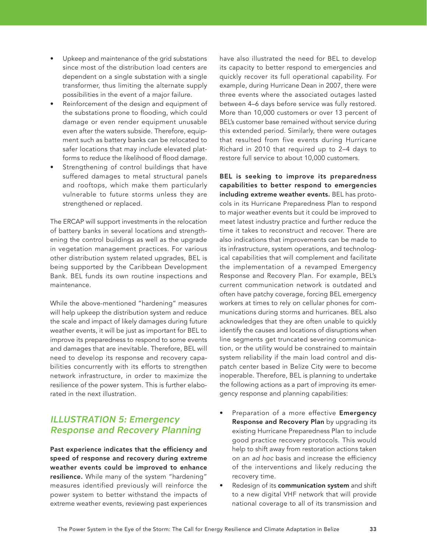- Upkeep and maintenance of the grid substations since most of the distribution load centers are dependent on a single substation with a single transformer, thus limiting the alternate supply possibilities in the event of a major failure.
- Reinforcement of the design and equipment of the substations prone to flooding, which could damage or even render equipment unusable even after the waters subside. Therefore, equipment such as battery banks can be relocated to safer locations that may include elevated platforms to reduce the likelihood of flood damage.
- Strengthening of control buildings that have suffered damages to metal structural panels and rooftops, which make them particularly vulnerable to future storms unless they are strengthened or replaced.

The ERCAP will support investments in the relocation of battery banks in several locations and strengthening the control buildings as well as the upgrade in vegetation management practices. For various other distribution system related upgrades, BEL is being supported by the Caribbean Development Bank. BEL funds its own routine inspections and maintenance.

While the above-mentioned "hardening" measures will help upkeep the distribution system and reduce the scale and impact of likely damages during future weather events, it will be just as important for BEL to improve its preparedness to respond to some events and damages that are inevitable. Therefore, BEL will need to develop its response and recovery capabilities concurrently with its efforts to strengthen network infrastructure, in order to maximize the resilience of the power system. This is further elaborated in the next illustration.

#### **ILLUSTRATION 5: Emergency Response and Recovery Planning**

**Past experience indicates that the efficiency and speed of response and recovery during extreme weather events could be improved to enhance resilience.** While many of the system "hardening" measures identified previously will reinforce the power system to better withstand the impacts of extreme weather events, reviewing past experiences

have also illustrated the need for BEL to develop its capacity to better respond to emergencies and quickly recover its full operational capability. For example, during Hurricane Dean in 2007, there were three events where the associated outages lasted between 4–6 days before service was fully restored. More than 10,000 customers or over 13 percent of BEL's customer base remained without service during this extended period. Similarly, there were outages that resulted from five events during Hurricane Richard in 2010 that required up to 2–4 days to restore full service to about 10,000 customers.

**BEL is seeking to improve its preparedness capabilities to better respond to emergencies including extreme weather events.** BEL has protocols in its Hurricane Preparedness Plan to respond to major weather events but it could be improved to meet latest industry practice and further reduce the time it takes to reconstruct and recover. There are also indications that improvements can be made to its infrastructure, system operations, and technological capabilities that will complement and facilitate the implementation of a revamped Emergency Response and Recovery Plan. For example, BEL's current communication network is outdated and often have patchy coverage, forcing BEL emergency workers at times to rely on cellular phones for communications during storms and hurricanes. BEL also acknowledges that they are often unable to quickly identify the causes and locations of disruptions when line segments get truncated severing communication, or the utility would be constrained to maintain system reliability if the main load control and dispatch center based in Belize City were to become inoperable. Therefore, BEL is planning to undertake the following actions as a part of improving its emergency response and planning capabilities:

- Preparation of a more effective **Emergency Response and Recovery Plan** by upgrading its existing Hurricane Preparedness Plan to include good practice recovery protocols. This would help to shift away from restoration actions taken on an ad hoc basis and increase the efficiency of the interventions and likely reducing the recovery time.
- Redesign of its **communication system** and shift to a new digital VHF network that will provide national coverage to all of its transmission and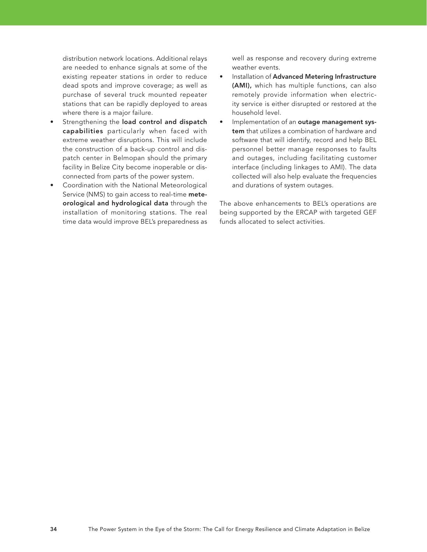distribution network locations. Additional relays are needed to enhance signals at some of the existing repeater stations in order to reduce dead spots and improve coverage; as well as purchase of several truck mounted repeater stations that can be rapidly deployed to areas where there is a major failure.

- Strengthening the **load control and dispatch capabilities** particularly when faced with extreme weather disruptions. This will include the construction of a back-up control and dispatch center in Belmopan should the primary facility in Belize City become inoperable or disconnected from parts of the power system.
- Coordination with the National Meteorological Service (NMS) to gain access to real-time **meteorological and hydrological data** through the installation of monitoring stations. The real time data would improve BEL's preparedness as

well as response and recovery during extreme weather events.

- Installation of **Advanced Metering Infrastructure (AMI),** which has multiple functions, can also remotely provide information when electricity service is either disrupted or restored at the household level.
- Implementation of an **outage management system** that utilizes a combination of hardware and software that will identify, record and help BEL personnel better manage responses to faults and outages, including facilitating customer interface (including linkages to AMI). The data collected will also help evaluate the frequencies and durations of system outages.

The above enhancements to BEL's operations are being supported by the ERCAP with targeted GEF funds allocated to select activities.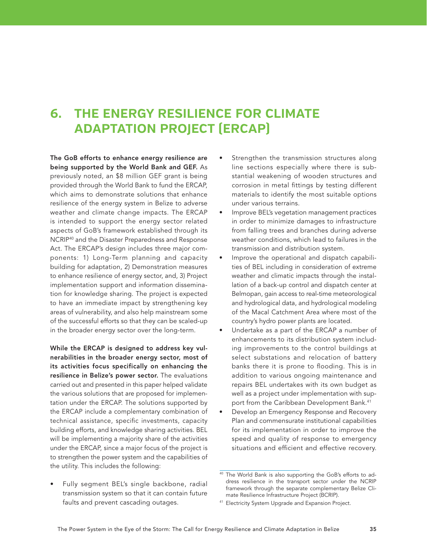## **6. THE ENERGY RESILIENCE FOR CLIMATE ADAPTATION PROJECT (ERCAP)**

**The GoB efforts to enhance energy resilience are being supported by the World Bank and GEF.** As previously noted, an \$8 million GEF grant is being provided through the World Bank to fund the ERCAP, which aims to demonstrate solutions that enhance resilience of the energy system in Belize to adverse weather and climate change impacts. The ERCAP is intended to support the energy sector related aspects of GoB's framework established through its NCRIP40 and the Disaster Preparedness and Response Act. The ERCAP's design includes three major components: 1) Long-Term planning and capacity building for adaptation, 2) Demonstration measures to enhance resilience of energy sector, and, 3) Project implementation support and information dissemination for knowledge sharing. The project is expected to have an immediate impact by strengthening key areas of vulnerability, and also help mainstream some of the successful efforts so that they can be scaled-up in the broader energy sector over the long-term.

**While the ERCAP is designed to address key vulnerabilities in the broader energy sector, most of its activities focus specifically on enhancing the resilience in Belize's power sector.** The evaluations carried out and presented in this paper helped validate the various solutions that are proposed for implementation under the ERCAP. The solutions supported by the ERCAP include a complementary combination of technical assistance, specific investments, capacity building efforts, and knowledge sharing activities. BEL will be implementing a majority share of the activities under the ERCAP, since a major focus of the project is to strengthen the power system and the capabilities of the utility. This includes the following:

Fully segment BEL's single backbone, radial transmission system so that it can contain future faults and prevent cascading outages.

- Strengthen the transmission structures along line sections especially where there is substantial weakening of wooden structures and corrosion in metal fittings by testing different materials to identify the most suitable options under various terrains.
- Improve BEL's vegetation management practices in order to minimize damages to infrastructure from falling trees and branches during adverse weather conditions, which lead to failures in the transmission and distribution system.
- Improve the operational and dispatch capabilities of BEL including in consideration of extreme weather and climatic impacts through the installation of a back-up control and dispatch center at Belmopan, gain access to real-time meteorological and hydrological data, and hydrological modeling of the Macal Catchment Area where most of the country's hydro power plants are located.
- Undertake as a part of the ERCAP a number of enhancements to its distribution system including improvements to the control buildings at select substations and relocation of battery banks there it is prone to flooding. This is in addition to various ongoing maintenance and repairs BEL undertakes with its own budget as well as a project under implementation with support from the Caribbean Development Bank.<sup>41</sup>
- Develop an Emergency Response and Recovery Plan and commensurate institutional capabilities for its implementation in order to improve the speed and quality of response to emergency situations and efficient and effective recovery.

<sup>&</sup>lt;sup>40</sup> The World Bank is also supporting the GoB's efforts to address resilience in the transport sector under the NCRIP framework through the separate complementary Belize Climate Resilience Infrastructure Project (BCRIP).

<sup>41</sup> Electricity System Upgrade and Expansion Project.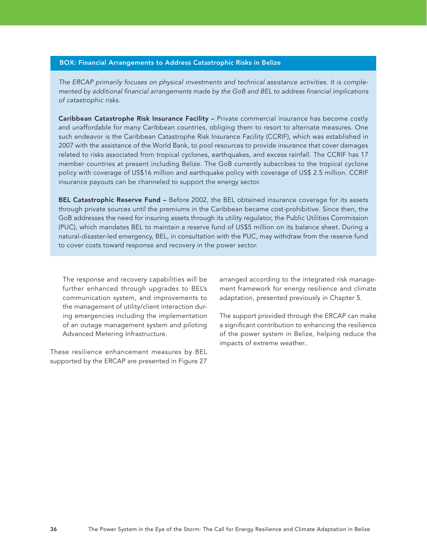#### **BOX: Financial Arrangements to Address Catastrophic Risks in Belize**

The ERCAP primarily focuses on physical investments and technical assistance activities. It is complemented by additional financial arrangements made by the GoB and BEL to address financial implications of catastrophic risks.

**Caribbean Catastrophe Risk Insurance Facility –** Private commercial insurance has become costly and unaffordable for many Caribbean countries, obliging them to resort to alternate measures. One such endeavor is the Caribbean Catastrophe Risk Insurance Facility (CCRIF), which was established in 2007 with the assistance of the World Bank, to pool resources to provide insurance that cover damages related to risks associated from tropical cyclones, earthquakes, and excess rainfall. The CCRIF has 17 member countries at present including Belize. The GoB currently subscribes to the tropical cyclone policy with coverage of US\$16 million and earthquake policy with coverage of US\$ 2.5 million. CCRIF insurance payouts can be channeled to support the energy sector.

**BEL Catastrophic Reserve Fund –** Before 2002, the BEL obtained insurance coverage for its assets through private sources until the premiums in the Caribbean became cost-prohibitive. Since then, the GoB addresses the need for insuring assets through its utility regulator, the Public Utilities Commission (PUC), which mandates BEL to maintain a reserve fund of US\$5 million on its balance sheet. During a natural-disaster-led emergency, BEL, in consultation with the PUC, may withdraw from the reserve fund to cover costs toward response and recovery in the power sector.

The response and recovery capabilities will be further enhanced through upgrades to BEL's communication system, and improvements to the management of utility/client interaction during emergencies including the implementation of an outage management system and piloting Advanced Metering Infrastructure.

These resilience enhancement measures by BEL supported by the ERCAP are presented in Figure 27

arranged according to the integrated risk management framework for energy resilience and climate adaptation, presented previously in Chapter 5.

The support provided through the ERCAP can make a significant contribution to enhancing the resilience of the power system in Belize, helping reduce the impacts of extreme weather..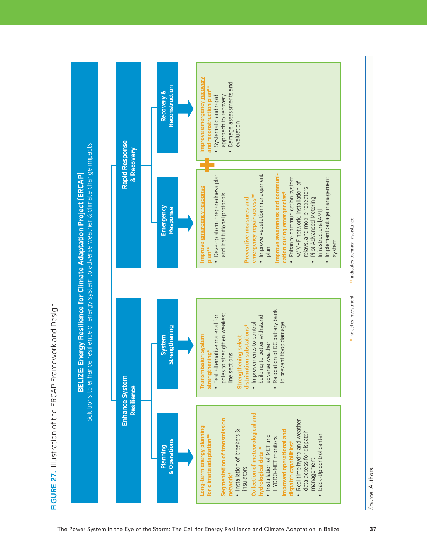Source: Authors.

Source: Authors.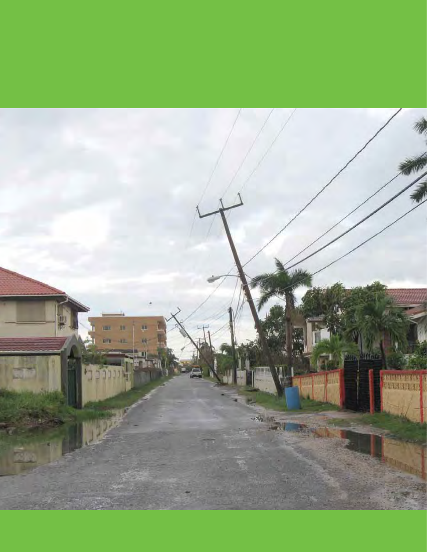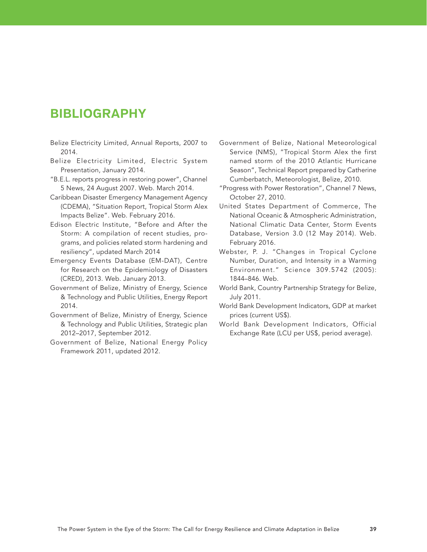## **BIBLIOGRAPHY**

- Belize Electricity Limited, Annual Reports, 2007 to 2014.
- Belize Electricity Limited, Electric System Presentation, January 2014.
- "B.E.L. reports progress in restoring power", Channel 5 News, 24 August 2007. Web. March 2014.
- Caribbean Disaster Emergency Management Agency (CDEMA), "Situation Report, Tropical Storm Alex Impacts Belize". Web. February 2016.
- Edison Electric Institute, "Before and After the Storm: A compilation of recent studies, programs, and policies related storm hardening and resiliency", updated March 2014
- Emergency Events Database (EM-DAT), Centre for Research on the Epidemiology of Disasters (CRED), 2013. Web. January 2013.
- Government of Belize, Ministry of Energy, Science & Technology and Public Utilities, Energy Report 2014.
- Government of Belize, Ministry of Energy, Science & Technology and Public Utilities, Strategic plan 2012–2017, September 2012.
- Government of Belize, National Energy Policy Framework 2011, updated 2012.
- Government of Belize, National Meteorological Service (NMS), "Tropical Storm Alex the first named storm of the 2010 Atlantic Hurricane Season", Technical Report prepared by Catherine Cumberbatch, Meteorologist, Belize, 2010.
- "Progress with Power Restoration", Channel 7 News, October 27, 2010.
- United States Department of Commerce, The National Oceanic & Atmospheric Administration, National Climatic Data Center, Storm Events Database, Version 3.0 (12 May 2014). Web. February 2016.
- Webster, P. J. "Changes in Tropical Cyclone Number, Duration, and Intensity in a Warming Environment." Science 309.5742 (2005): 1844–846. Web.
- World Bank, Country Partnership Strategy for Belize, July 2011.
- World Bank Development Indicators, GDP at market prices (current US\$).
- World Bank Development Indicators, Official Exchange Rate (LCU per US\$, period average).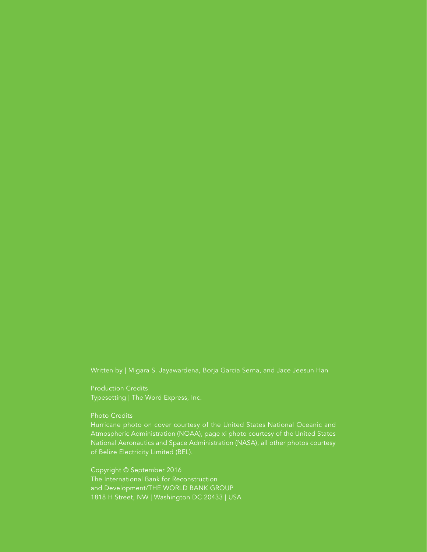Written by | Migara S. Jayawardena, Borja Garcia Serna, and Jace Jeesun Han

Production Credits Typesetting | The Word Express, Inc.

Photo Credits

Atmospheric Administration (NOAA), page xi photo courtesy of the United States National Aeronautics and Space Administration (NASA), all other photos courtesy of Belize Electricity Limited (BEL).

Copyright © September 2016 and Development/THE WORLD BANK GROUP 1818 H Street, NW | Washington DC 20433 | USA